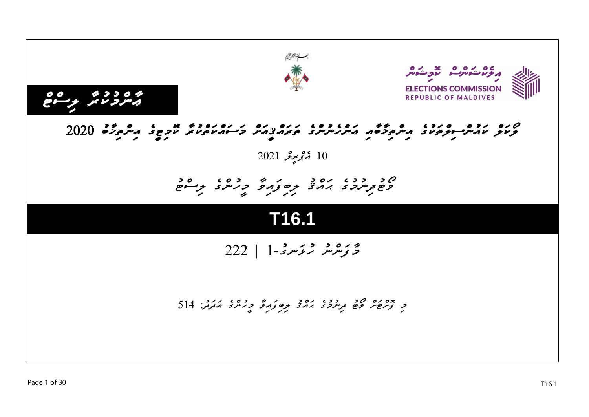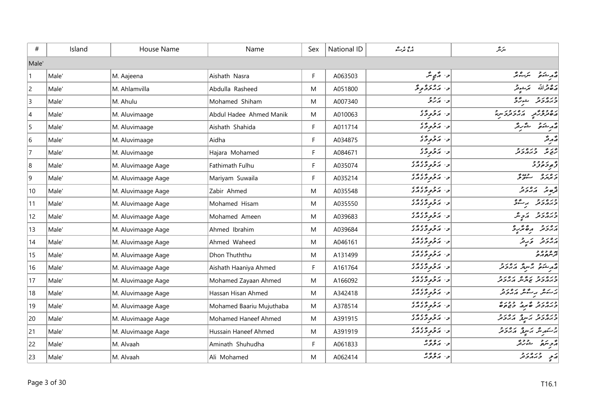| #               | Island | House Name         | Name                     | Sex | National ID | ، ه ، بر <u>م</u>                          | ىئرىتر                                   |
|-----------------|--------|--------------------|--------------------------|-----|-------------|--------------------------------------------|------------------------------------------|
| Male'           |        |                    |                          |     |             |                                            |                                          |
|                 | Male'  | M. Aajeena         | Aishath Nasra            | F   | A063503     | ح <sup>.</sup> مُرَّمٍ مَرَّ               | ۇرمىشكى ئىر ئىسى                         |
| 2               | Male'  | M. Ahlamvilla      | Abdulla Rasheed          | M   | A051800     | د . م. <i>د</i> ود و د                     | أرة قرالله تمرشونر                       |
| $\vert$ 3       | Male'  | M. Ahulu           | Mohamed Shiham           | M   | A007340     | ە . كەرگە                                  | ورەر دىرو                                |
| $\overline{4}$  | Male'  | M. Aluvimaage      | Abdul Hadee Ahmed Manik  | M   | A010063     | و· مگوهونژه<br>م                           | رە دور پر در در سر                       |
| $\overline{5}$  | Male'  | M. Aluvimaage      | Aishath Shahida          | F   | A011714     | و· مگوهونو د                               | د مرشوم شرید<br>درشوم شرید<br>درگ        |
| $6\overline{6}$ | Male'  | M. Aluvimaage      | Aidha                    | F   | A034875     | و٠ رکړو وي<br>و٠ رکړو وگ                   |                                          |
| 7               | Male'  | M. Aluvimaage      | Hajara Mohamed           | F   | A084671     | و· مگوهونو د                               | ور وره دورد                              |
| $\overline{8}$  | Male'  | M. Aluvimaage Aage | Fathimath Fulhu          | F   | A035074     | د . مرور و<br>د . مرور و د م               | ۇ بوخ ئ <sup>و دې</sup>                  |
| $ 9\rangle$     | Male'  | M. Aluvimaage Aage | Mariyam Suwaila          | F   | A035214     | د . مرکور پروه<br>د . مرکور پروه           | ر ه بر ه<br><del>د</del> بربر ژ<br>سنهجر |
| 10              | Male'  | M. Aluvimaage Aage | Zabir Ahmed              | M   | A035548     | د . مرکورځ وي.<br>د . مرکورځ وي.           | ترەپر גיגב                               |
| 11              | Male'  | M. Aluvimaage Aage | Mohamed Hisam            | M   | A035550     | د . مرور و<br>د . مرور و د م               | ورەر دىر ي                               |
| 12              | Male'  | M. Aluvimaage Aage | Mohamed Ameen            | M   | A039683     | د کروه ده ده<br>د کروه ده د                | ورەرو كەچىگ                              |
| 13              | Male'  | M. Aluvimaage Aage | Ahmed Ibrahim            | M   | A039684     | د . م <i>رو و د</i> ه .<br>د . مرو و د م   | גפינ גליליב                              |
| 14              | Male'  | M. Aluvimaage Aage | Ahmed Waheed             | M   | A046161     | د . مرور و<br>د . مرور و د م               | پرەر ئەر ئەر                             |
| 15              | Male'  | M. Aluvimaage Aage | Dhon Thuththu            | M   | A131499     | د . مرور و ، ، »<br>د . مرور و د مر        | يو ه و ه و<br>ترسرچ پر ج                 |
| 16              | Male'  | M. Aluvimaage Aage | Aishath Haaniya Ahmed    | F   | A161764     | د . رژوژه ده .                             | ومرشوم بمسر مددور                        |
| 17              | Male'  | M. Aluvimaage Aage | Mohamed Zayaan Ahmed     | M   | A166092     | د ۰ مرکورگروری<br>د ۰ مرکورگروری           | כנסגב גם המגב<br>כגתכת אתית הגבת         |
| 18              | Male'  | M. Aluvimaage Aage | Hassan Hisan Ahmed       | M   | A342418     | د به تره و ۲۸۲۶<br>د به تره د ترو بر       | يركبش بركشش وبروفر                       |
| 19              | Male'  | M. Aluvimaage Aage | Mohamed Baariu Mujuthaba | M   | A378514     | د . م <i>رو و ، ، »</i><br>د . مرو و د مر  |                                          |
| 20              | Male'  | M. Aluvimaage Aage | Mohamed Haneef Ahmed     | M   | A391915     | د . مگروه د د .<br>د . مگروه د د .         | ورەرو بەيدۇ كەردو                        |
| 21              | Male'  | M. Aluvimaage Aage | Hussain Haneef Ahmed     | M   | A391919     | د . م <i>رو و د</i> ه و ،<br>د . مرو و د م | بر سەر شەر ئەسرى ئەرجىتى                 |
| 22              | Male'  | M. Alvaah          | Aminath Shuhudha         | F   | A061833     | و· پروژه ژ                                 | أرمز<br>شقەر تىر                         |
| 23              | Male'  | M. Alvaah          | Ali Mohamed              | M   | A062414     | و . مروء و                                 | أمرم وره رد                              |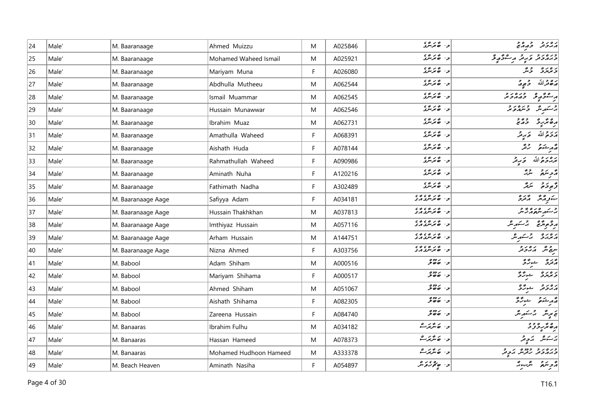| 24 | Male' | M. Baaranaage      | Ahmed Muizzu           | M           | A025846 | ه په کاموروي                             | גפיק במהב                    |
|----|-------|--------------------|------------------------|-------------|---------|------------------------------------------|------------------------------|
| 25 | Male' | M. Baaranaage      | Mohamed Waheed Ismail  | M           | A025921 | و په نورون                               | ورەرو كەبىر مەشگەپ           |
| 26 | Male' | M. Baaranaage      | Mariyam Muna           | F           | A026080 | و . ځمه شری                              | ره ره ویژ                    |
| 27 | Male' | M. Baaranaage      | Abdhulla Mutheeu       | M           | A062544 | وستخويمون                                | ەھىراللە<br>و د و<br>مرجو پر |
| 28 | Male' | M. Baaranaage      | Ismail Muammar         | M           | A062545 | وسي تريمي                                | - 1017 0200                  |
| 29 | Male' | M. Baaranaage      | Hussain Munawwar       | M           | A062546 | وسي تريمي                                | بر شهر مده در د              |
| 30 | Male' | M. Baaranaage      | Ibrahim Muaz           | M           | A062731 | وسي تريمي                                | دە ئەر دەر                   |
| 31 | Male' | M. Baaranaage      | Amathulla Waheed       | F           | A068391 | وسي تريمي                                | ترځره الله<br>ءَ ٻه تقر      |
| 32 | Male' | M. Baaranaage      | Aishath Huda           | F           | A078144 | وسي تريمي                                | وكرم شكوة المرتكز            |
| 33 | Male' | M. Baaranaage      | Rahmathullah Waheed    | $\mathsf F$ | A090986 | و . ځمه ترمړي                            | برەردالله كەبەتر             |
| 34 | Male' | M. Baaranaage      | Aminath Nuha           | F           | A120216 | و . ځمه ترمړي                            | ړ د سر                       |
| 35 | Male' | M. Baaranaage      | Fathimath Nadha        | F           | A302489 | و په نوروي                               | وَّجِرَدَةٌ سَرَبَّرٌ        |
| 36 | Male' | M. Baaranaage Aage | Safiyya Adam           | $\mathsf F$ | A034181 | و . ه د و ، د ،<br>و . ه ترس د د د       | سوره پوره                    |
| 37 | Male' | M. Baaranaage Aage | Hussain Thakhkhan      | M           | A037813 | و . ه د و ، د ،<br>و . ه <del>ب</del> رس | جەسىم شىھەر شىر              |
| 38 | Male' | M. Baaranaage Aage | Imthiyaz Hussain       | M           | A057116 | و . ه د و ، د ،<br>و . ه ترس د د د       | أرومورج برخوش                |
| 39 | Male' | M. Baaranaage Aage | Arham Hussain          | M           | A144751 | و . ه د پر پره و د<br>و . ه ترسری د ی    | أرەرە بر سرير                |
| 40 | Male' | M. Baaranaage Aage | Nizna Ahmed            | F           | A303756 | و . ه د و ، د ،<br>و . ه ترس د د د       | سرچ پش پر مرد د              |
| 41 | Male' | M. Babool          | Adam Shiham            | M           | A000516 | ر دوه<br>د ه کام                         | پر و جوگرو<br>مرکز جوگرو     |
| 42 | Male' | M. Babool          | Mariyam Shihama        | F           | A000517 | ر دوه<br>و . ځای                         | رەرە ھەمچ                    |
| 43 | Male' | M. Babool          | Ahmed Shiham           | M           | A051067 | ر دوه<br>د ه هو                          | رەرد ئىرگە                   |
| 44 | Male' | M. Babool          | Aishath Shihama        | $\mathsf F$ | A082305 | $500 - 7$                                | وأرشكم شركر                  |
| 45 | Male' | M. Babool          | Zareena Hussain        | $\mathsf F$ | A084740 | ر به دوه<br>و ان کامو                    | ئم پرېنتر كى ئەسرىتىر        |
| 46 | Male' | M. Banaaras        | Ibrahim Fulhu          | M           | A034182 | چە ئەمترىمەت                             | ە ھېڭرىپ دې<br>س             |
| 47 | Male' | M. Banaaras        | Hassan Hameed          | M           | A078373 | چە ئەنترىترىشە                           | يزىكىش بركوش                 |
| 48 | Male' | M. Banaaras        | Mohamed Hudhoon Hameed | M           | A333378 | ى ئەنىر ئە                               |                              |
| 49 | Male' | M. Beach Heaven    | Aminath Nasiha         | $\mathsf F$ | A054897 | و <sub>`</sub> ھەممەر ھەمىر              | أأرجع متن المنتقبة           |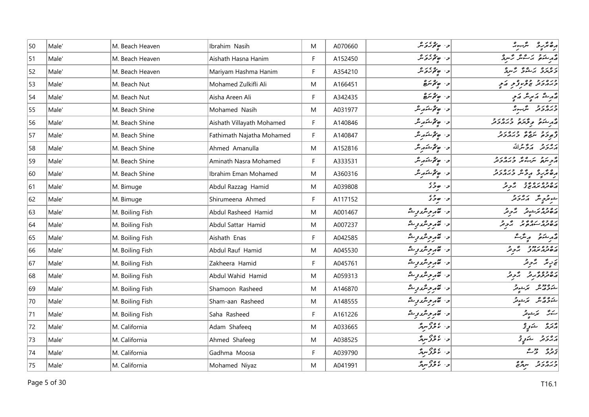| 50 | Male' | M. Beach Heaven | Ibrahim Nasih             | M         | A070660 | <sub>و</sub> . ھ <sup>2</sup> روكر                                                             | رە ئەر ئەسىر ئە                              |
|----|-------|-----------------|---------------------------|-----------|---------|------------------------------------------------------------------------------------------------|----------------------------------------------|
| 51 | Male' | M. Beach Heaven | Aishath Hasna Hanim       | F         | A152450 | د په دروند                                                                                     |                                              |
| 52 | Male' | M. Beach Heaven | Mariyam Hashma Hanim      | F         | A354210 | $ s\>$ ، مو گار د کار مگر                                                                      | رەرە بەشۇ ئەرۋ                               |
| 53 | Male' | M. Beach Nut    | Mohamed Zulkifli Ali      | M         | A166451 | $\left  \mathbf{c} \cdot \frac{\partial \mathbf{c}}{\partial \mathbf{r}^2} \mathbf{c} \right $ |                                              |
| 54 | Male' | M. Beach Nut    | Aisha Areen Ali           | F         | A342435 | وسي محر يتركيح                                                                                 | ړې شه کمپ شر کمپ                             |
| 55 | Male' | M. Beach Shine  | Mohamed Nasih             | M         | A031977 | و. ھگوشكەر س                                                                                   | ورەرو شەر                                    |
| 56 | Male' | M. Beach Shine  | Aishath Villayath Mohamed | F         | A140846 | وسي محموضكم مثله                                                                               | د مشتور و عرد و دره د و                      |
| 57 | Male' | M. Beach Shine  | Fathimath Najatha Mohamed | F         | A140847 | د په کارشکور شر                                                                                | و د د ده دره د د                             |
| 58 | Male' | M. Beach Shine  | Ahmed Amanulla            | ${\sf M}$ | A152816 | وسي محموضكم مثل                                                                                | برەرد برۇيراللە                              |
| 59 | Male' | M. Beach Shine  | Aminath Nasra Mohamed     | F         | A333531 | د په کار شکه مش                                                                                | أثر شم شريعه وره د و                         |
| 60 | Male' | M. Beach Shine  | Ibrahim Eman Mohamed      | M         | A360316 | د. ھ%شكەر ش                                                                                    | ره پر ده مرد در در در                        |
| 61 | Male' | M. Bimuge       | Abdul Razzag Hamid        | M         | A039808 | $\begin{bmatrix} 1 & 3 & 3 & 3 & 3 \ 3 & 3 & 3 & 3 & 3 \ 3 & 3 & 3 & 3 & 3 \end{bmatrix}$      |                                              |
| 62 | Male' | M. Bimuge       | Shirumeena Ahmed          | F         | A117152 | 550.5                                                                                          | جوهر پرورو                                   |
| 63 | Male' | M. Boiling Fish | Abdul Rasheed Hamid       | ${\sf M}$ | A001467 | و· قەرىرىنىدى <sub>رىش</sub> ە                                                                 | ره وه رئيسوتر گردتر<br>مان مرم رئيسوتر گردتر |
| 64 | Male' | M. Boiling Fish | Abdul Sattar Hamid        | ${\sf M}$ | A007237 | د· قەرىرىش <sub>دىرىش</sub>                                                                    | ג 2000 במיד - 200 ב                          |
| 65 | Male' | M. Boiling Fish | Aishath Enas              | F         | A042585 | و· قەرمەھمەر يەشە                                                                              | ومرشنو برنثر                                 |
| 66 | Male' | M. Boiling Fish | Abdul Rauf Hamid          | M         | A045530 | و· ھەر دېشمەر يىش                                                                              | גם כם גבר כ"ז בית                            |
| 67 | Male' | M. Boiling Fish | Zakheera Hamid            | F         | A045761 | و· ئۇروپىدۇرىشە                                                                                | كالمخانية متحرقر                             |
| 68 | Male' | M. Boiling Fish | Abdul Wahid Hamid         | M         | A059313 | و· قەرىرىنىدۇرىشە                                                                              | ره وه د د گردگر<br>مەھىرىگرىگرىش برگرىگر     |
| 69 | Male' | M. Boiling Fish | Shamoon Rasheed           | M         | A146870 | <mark>و· قەرىرىىگرىز</mark> شە                                                                 | شەھ بەر ئەسىمى ئەسىر                         |
| 70 | Male' | M. Boiling Fish | Sham-aan Rasheed          | M         | A148555 | <mark>و· قەرىرىدى رىش</mark> و                                                                 | لشكره مجما المتمر المراجع                    |
| 71 | Male' | M. Boiling Fish | Saha Rasheed              | F         | A161226 | د په موسود و <u>مه</u>                                                                         | سەش ئىمەھىر                                  |
| 72 | Male' | M. California   | Adam Shafeeq              | ${\sf M}$ | A033665 | د . ئاۋۇسى <i>د</i>                                                                            | گەندە سەرپى                                  |
| 73 | Male' | M. California   | Ahmed Shafeeg             | M         | A038525 | د . ئاۋۇسى <i>د</i>                                                                            | أرەر دائىتى ئەر                              |
| 74 | Male' | M. California   | Gadhma Moosa              | F         | A039790 | د . ئاۋۇسى <i>د</i>                                                                            | تزوري ووش                                    |
| 75 | Male' | M. California   | Mohamed Niyaz             | ${\sf M}$ | A041991 | د . ئانزۇسى <i>د</i>                                                                           | כנסנב תתם                                    |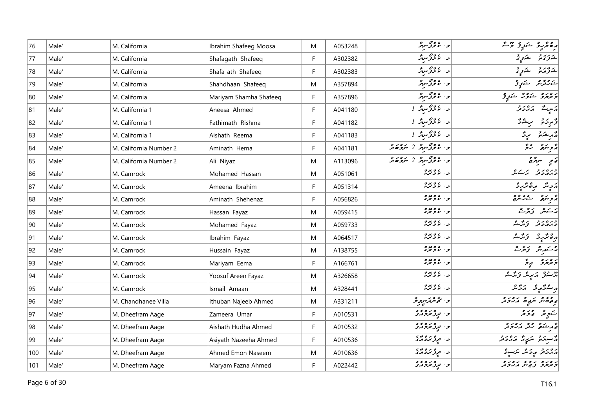| 76  | Male' | M. California          | Ibrahim Shafeeg Moosa  | M         | A053248 | د. ئاۋۇس ئە                                                                                          | دەنگەپە ھەرپى ئاس                                  |
|-----|-------|------------------------|------------------------|-----------|---------|------------------------------------------------------------------------------------------------------|----------------------------------------------------|
| 77  | Male' | M. California          | Shafagath Shafeeq      | F         | A302382 | <sub>د ،</sub> ، ه ه ه مرکز                                                                          | شركر كالمحتفظ الشركر في                            |
| 78  | Male' | M. California          | Shafa-ath Shafeeq      | F         | A302383 | د . ئاۋۇسى <i>د</i>                                                                                  | يەمەر جەمھ ئىتكەنى                                 |
| 79  | Male' | M. California          | Shahdhaan Shafeeq      | M         | A357894 | و· ئاۋۇس ئىر                                                                                         |                                                    |
| 80  | Male' | M. California          | Mariyam Shamha Shafeeq | F         | A357896 | و . ما وه مهر                                                                                        | د ۱۵ د ۱۵ د ۱۵ شور و                               |
| 81  | Male' | M. California 1        | Aneesa Ahmed           | F         | A041180 | و. ئۇقۇمب <i>را</i> 1                                                                                | أرسيت أرورة                                        |
| 82  | Male' | M. California 1        | Fathimath Rishma       | F         | A041182 | و· ئاۋۇمبىد 1                                                                                        | أوجوحه برشوق                                       |
| 83  | Male' | M. California 1        | Aishath Reema          | F         | A041183 | و ، ئۈۋستر 1                                                                                         | أمام يشكره المحمدة                                 |
| 84  | Male' | M. California Number 2 | Aminath Hema           | F         | A041181 | و ، ئانۇۋسىز 2 ئىردە بر                                                                              | أثر حرمتهم<br>رمجة                                 |
| 85  | Male' | M. California Number 2 | Ali Niyaz              | ${\sf M}$ | A113096 | و ، ئانۇۋسىز 2 ئىردە بر                                                                              | أوسمج سرقر تبح                                     |
| 86  | Male' | M. Camrock             | Mohamed Hassan         | M         | A051061 | ړ په ده ده<br>د ۱ مرمون                                                                              | ورەرو پەسكىر                                       |
| 87  | Male' | M. Camrock             | Ameena Ibrahim         | F         | A051314 | ه د عروه<br>و . ماو برما                                                                             | أرَدِيدٌ و هُنگردْ                                 |
| 88  | Male' | M. Camrock             | Aminath Shehenaz       | F         | A056826 | ه د عروه<br>و . ماو برما                                                                             | و الله عن المعنى المحمد المراجع المحمد المراجع الم |
| 89  | Male' | M. Camrock             | Hassan Fayaz           | ${\sf M}$ | A059415 | ړه پره<br>د ۱ کولمرن                                                                                 | برسەش ئەۋرشە                                       |
| 90  | Male' | M. Camrock             | Mohamed Fayaz          | ${\sf M}$ | A059733 | $\overset{o\times o}{\phantom{o}}\overset{c}{\phantom{o}}\cdot$ , $\overset{o\times o}{\phantom{o}}$ | وره دو ره ه                                        |
| 91  | Male' | M. Camrock             | Ibrahim Fayaz          | ${\sf M}$ | A064517 | $\overset{o\times o\times c}{\phantom{o}\sim}$                                                       | رە ئەر ئىر ئى                                      |
| 92  | Male' | M. Camrock             | Hussain Fayaz          | M         | A138755 | ړه پره<br>د ۱ نومر                                                                                   | ج <sub>سک</sub> رمر و پڑے                          |
| 93  | Male' | M. Camrock             | Mariyam Eema           | F         | A166761 | ه د عروه<br>و . ماو برما                                                                             | أو بروره مر                                        |
| 94  | Male' | M. Camrock             | Yoosuf Areen Fayaz     | M         | A326658 | ه د عروه<br>و . ماو برما                                                                             | دو وه برې ورو د م                                  |
| 95  | Male' | M. Camrock             | Ismail Amaan           | M         | A328441 | ه ده ده ده<br>د ۱ مومرد                                                                              | ر عۇرپۇ مەرب                                       |
| 96  | Male' | M. Chandhanee Villa    | Ithuban Najeeb Ahmed   | M         | A331211 | د · ئۇشۇرسىرى ئى                                                                                     | ر وه مر د در در در در د                            |
| 97  | Male' | M. Dheefram Aage       | Zameera Umar           | F         | A010531 | و . مروځ پره دی                                                                                      | شوپژ اړوبر                                         |
| 98  | Male' | M. Dheefram Aage       | Aishath Hudha Ahmed    | F         | A010532 | <sub>و</sub> . م <sub>ی</sub> وتره و و                                                               | ه در د وي ره د د                                   |
| 99  | Male' | M. Dheefram Aage       | Asiyath Nazeeha Ahmed  | F         | A010536 | و۰ مړو ترو ژه                                                                                        | أوالمستركم التركيب وكالرادر                        |
| 100 | Male' | M. Dheefram Aage       | Ahmed Emon Naseem      | M         | A010636 | و۰ مړو ترو ژو                                                                                        | أرور و د عرب الله الله عن                          |
| 101 | Male' | M. Dheefram Aage       | Maryam Fazna Ahmed     | F         | A022442 | و٠ تړوکره دی                                                                                         | ر ه ر ه ر د و ر ر د د<br>تر بربرد کام کرد کرد      |
|     |       |                        |                        |           |         |                                                                                                      |                                                    |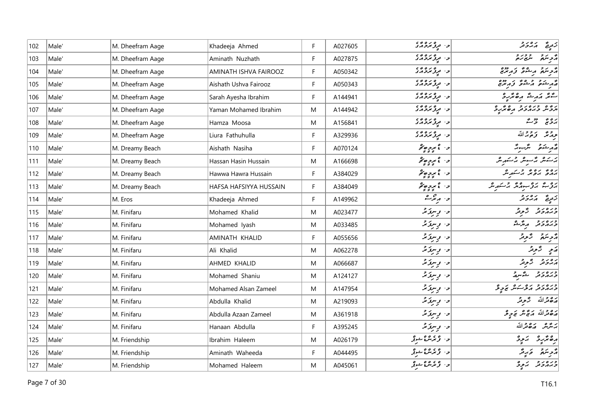| 102 | Male' | M. Dheefram Aage | Khadeeja Ahmed         | F  | A027605 | و۰ مړو ترو ژه                                                                    | تزەرق كەرد ۋ                                      |
|-----|-------|------------------|------------------------|----|---------|----------------------------------------------------------------------------------|---------------------------------------------------|
| 103 | Male' | M. Dheefram Aage | Aminath Nuzhath        | F. | A027875 | د· مړو تره وي                                                                    | أثرم مرد و و در و                                 |
| 104 | Male' | M. Dheefram Aage | AMINATH ISHVA FAIROOZ  | F  | A050342 | و۰ مړو ترو ژه                                                                    | أترضع المشوه والمعمج                              |
| 105 | Male' | M. Dheefram Aage | Aishath Ushva Fairooz  | F  | A050343 | و٠ تړو بره وي                                                                    | كم مشكاته والمشرق والمربوح                        |
| 106 | Male' | M. Dheefram Aage | Sarah Ayesha Ibrahim   | F. | A144941 | و۰ مرو بره وي                                                                    | ستتمر مەيش مەھترىدى                               |
| 107 | Male' | M. Dheefram Aage | Yaman Mohamed Ibrahim  | M  | A144942 | و۰ مرونجرد و دی                                                                  | נשם כנסנד סשים                                    |
| 108 | Male' | M. Dheefram Aage | Hamza Moosa            | M  | A156841 | و٠ تروکرو دی<br>و٠ تروکرو دی                                                     | ره و در                                           |
| 109 | Male' | M. Dheefram Aage | Liura Fathuhulla       | F  | A329936 | و٠ مروحوړي                                                                       | حدثته ترحر الله                                   |
| 110 | Male' | M. Dreamy Beach  | Aishath Nasiha         | F. | A070124 | و ، ؟ موج ده و                                                                   | مەم ئىشمۇ سىر ئىب                                 |
| 111 | Male' | M. Dreamy Beach  | Hassan Hasin Hussain   | M  | A166698 | و ، ؟ مرد ھي                                                                     | ىرىسەنكە ئەسەنكە ئەسكەنگە                         |
| 112 | Male' | M. Dreamy Beach  | Hawwa Hawra Hussain    | F. | A384029 | $\left  \begin{matrix} 0 & 0 & 0 \\ 0 & 0 & 0 \\ 0 & 0 & 0 \end{matrix} \right $ | رەپە رەپ <sub>ە</sub> دىر<br>برادى بروبۇ برسكېرىش |
| 113 | Male' | M. Dreamy Beach  | HAFSA HAFSIYYA HUSSAIN | F  | A384049 | $\frac{2}{55}$                                                                   | رو په روبه ده د کره                               |
| 114 | Male' | M. Eros          | Khadeeja Ahmed         | F  | A149962 | د . مر مړگ                                                                       | أرَسٍ في المركز والمحمد                           |
| 115 | Male' | M. Finifaru      | Mohamed Khalid         | M  | A023477 | د. وسروند                                                                        | ورەرو ۋىرو                                        |
| 116 | Male' | M. Finifaru      | Mohamed Iyash          | M  | A033485 | ار. وسرته پر                                                                     | ورەر د پر د                                       |
| 117 | Male' | M. Finifaru      | <b>AMINATH KHALID</b>  | F  | A055656 |                                                                                  | أأترسكم المتحوفر                                  |
| 118 | Male' | M. Finifaru      | Ali Khalid             | M  | A062278 | د. وميوند                                                                        | أرشح المتحرقر                                     |
| 119 | Male' | M. Finifaru      | AHMED KHALID           | M  | A066687 | د· وسرتمه                                                                        | أرەر دىگروگە                                      |
| 120 | Male' | M. Finifaru      | Mohamed Shaniu         | M  | A124127 | ار. وسروند                                                                       | ورەرو شەر                                         |
| 121 | Male' | M. Finifaru      | Mohamed Alsan Zameel   | M  | A147954 | ار. وسرته                                                                        | ورەر دىرە جەر ئاچ                                 |
| 122 | Male' | M. Finifaru      | Abdulla Khalid         | M  | A219093 | ار. وسرونتر<br>——                                                                | 25 مرالله گرمتر                                   |
| 123 | Male' | M. Finifaru      | Abdulla Azaan Zameel   | M  | A361918 | ار. وسرته                                                                        | برە قراللە برقم مى بروگ                           |
| 124 | Male' | M. Finifaru      | Hanaan Abdulla         | F  | A395245 | ار. وسرتمه                                                                       | بَرْمَرْشْ مَرْهُ قَرْاللّه                       |
| 125 | Male' | M. Friendship    | Ibrahim Haleem         | M  | A026179 | - وعرمه وهيج                                                                     | رەنزىرو بەرو                                      |
| 126 | Male' | M. Friendship    | Aminath Waheeda        | F. | A044495 | والمح ترمره والمسوفى                                                             | أأروبتهم وكبيتر                                   |
| 127 | Male' | M. Friendship    | Mohamed Haleem         | M  | A045061 | و. وترس شور                                                                      | ورەر دىرە                                         |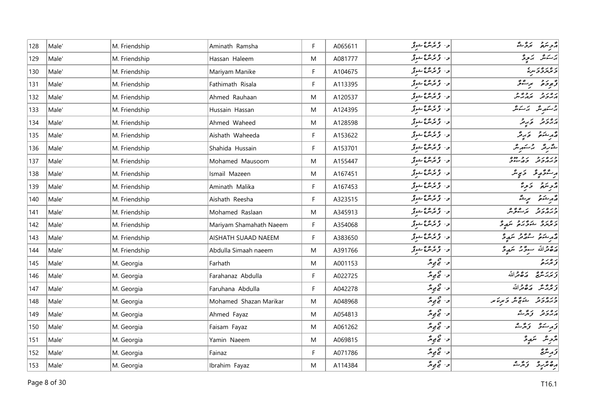| 128 | Male' | M. Friendship | Aminath Ramsha          | F  | A065611 | <sub>و</sub> ، وېمرسى جوړ                                                                                                                                                                                                                                                                                                                                          | أأروبتهم بروثة                                                                                                 |
|-----|-------|---------------|-------------------------|----|---------|--------------------------------------------------------------------------------------------------------------------------------------------------------------------------------------------------------------------------------------------------------------------------------------------------------------------------------------------------------------------|----------------------------------------------------------------------------------------------------------------|
| 129 | Male' | M. Friendship | Hassan Haleem           | M  | A081777 | -<br> - ژنگرمرنا شور                                                                                                                                                                                                                                                                                                                                               |                                                                                                                |
| 130 | Male' | M. Friendship | Mariyam Manike          | F  | A104675 | <sub>و</sub> . وېمرموع <sub>شو</sub> و                                                                                                                                                                                                                                                                                                                             | ر ورور<br>د بر د د د سر                                                                                        |
| 131 | Male' | M. Friendship | Fathimath Risala        | F. | A113395 | <sub>و</sub> ، وېمه شوو                                                                                                                                                                                                                                                                                                                                            | ۇۋۇۋە برىشۇ                                                                                                    |
| 132 | Male' | M. Friendship | Ahmed Rauhaan           | M  | A120537 | و. وېمرسو شوړ                                                                                                                                                                                                                                                                                                                                                      | גם גם גבובה.<br>הגבע ההגיע                                                                                     |
| 133 | Male' | M. Friendship | Hussain Hassan          | M  | A124395 | د. وېرسو شور                                                                                                                                                                                                                                                                                                                                                       | برسكهر برسكس                                                                                                   |
| 134 | Male' | M. Friendship | Ahmed Waheed            | M  | A128598 | د. ۇېزىدە ئىبۇ                                                                                                                                                                                                                                                                                                                                                     | أرەر ئەر ئەر                                                                                                   |
| 135 | Male' | M. Friendship | Aishath Waheeda         | F  | A153622 | و. وترس بدو                                                                                                                                                                                                                                                                                                                                                        | وكرشو وكرقر                                                                                                    |
| 136 | Male' | M. Friendship | Shahida Hussain         | F  | A153701 | -<br> - ژنگرمرنا شور                                                                                                                                                                                                                                                                                                                                               | لمشريكي الركستمريكل                                                                                            |
| 137 | Male' | M. Friendship | Mohamed Mausoom         | M  | A155447 | و. وې مړي جوړ                                                                                                                                                                                                                                                                                                                                                      | כנסנכ נכס<br><i>כמ</i> תכ <mark>נ</mark> ג פו <i>מ</i> ייכ                                                     |
| 138 | Male' | M. Friendship | Ismail Mazeen           | M  | A167451 | والمح ترشره للعرفي                                                                                                                                                                                                                                                                                                                                                 | بر شۇنپە ئۇيىل                                                                                                 |
| 139 | Male' | M. Friendship | Aminath Malika          | F  | A167453 | والمحمد وهوالمسوفي                                                                                                                                                                                                                                                                                                                                                 | أزويتهم أوادع                                                                                                  |
| 140 | Male' | M. Friendship | Aishath Reesha          | F  | A323515 | والمحمد والمسافر                                                                                                                                                                                                                                                                                                                                                   | وكرم شكو المحمد المحمد                                                                                         |
| 141 | Male' | M. Friendship | Mohamed Raslaan         | M  | A345913 | د. ۇېزىدە ئىبۇ                                                                                                                                                                                                                                                                                                                                                     | ورەر دەر دەھەر<br><i>دىد</i> روىر برگىرىش                                                                      |
| 142 | Male' | M. Friendship | Mariyam Shamahath Naeem | F  | A354068 | والمح ترسمنا والموفر                                                                                                                                                                                                                                                                                                                                               | رەرە شەدرە سەر                                                                                                 |
| 143 | Male' | M. Friendship | AISHATH SUAAD NAEEM     | F  | A383650 | <sub>ج</sub> . وتمريره عبدو                                                                                                                                                                                                                                                                                                                                        | $\begin{array}{cc} \circ & \circ & \circ & \circ & \circ \\ \circ & \circ & \circ & \circ & \circ \end{array}$ |
| 144 | Male' | M. Friendship | Abdulla Simaah naeem    | M  | A391766 | و. وترمره سور                                                                                                                                                                                                                                                                                                                                                      | رَصْحْرَاللَّهُ سِوتَهْ تَرَمَّدٍ وَ                                                                           |
| 145 | Male' | M. Georgia    | Farhath                 | M  | A001153 | و· قح قرقر                                                                                                                                                                                                                                                                                                                                                         | ر ه ر د<br>تر بربر <sub>ح</sub>                                                                                |
| 146 | Male' | M. Georgia    | Farahanaz Abdulla       | F  | A022725 | وسيح في پر                                                                                                                                                                                                                                                                                                                                                         | رىرىيە رەقراللە                                                                                                |
| 147 | Male' | M. Georgia    | Faruhana Abdulla        | F  | A042278 | و· في مح مرَّ                                                                                                                                                                                                                                                                                                                                                      | ىرە مەش ھەقراللە                                                                                               |
| 148 | Male' | M. Georgia    | Mohamed Shazan Marikar  | M  | A048968 | د . قي جرگر                                                                                                                                                                                                                                                                                                                                                        | ورەرو شەھ كەرىكە                                                                                               |
| 149 | Male' | M. Georgia    | Ahmed Fayaz             | M  | A054813 | $\begin{bmatrix} \stackrel{\scriptstyle o}{\scriptstyle \mathcal{S}} & \stackrel{\scriptstyle o}{\scriptstyle \mathcal{S}} & \stackrel{\scriptstyle o}{\scriptstyle \mathcal{S}} \\ \stackrel{\scriptstyle o}{\scriptstyle \mathcal{S}} & \stackrel{\scriptstyle o}{\scriptstyle \mathcal{S}} & \stackrel{\scriptstyle o}{\scriptstyle \mathcal{S}} \end{bmatrix}$ | رەرد رور                                                                                                       |
| 150 | Male' | M. Georgia    | Faisam Fayaz            | M  | A061262 | وسيحمح وتر                                                                                                                                                                                                                                                                                                                                                         | أقرمر سترقح وترشيح                                                                                             |
| 151 | Male' | M. Georgia    | Yamin Naeem             | M  | A069815 | وسيح في پر                                                                                                                                                                                                                                                                                                                                                         | أثروند التمدفي                                                                                                 |
| 152 | Male' | M. Georgia    | Fainaz                  | F. | A071786 | پر جي جي پڻر                                                                                                                                                                                                                                                                                                                                                       | ۇرېتىچ                                                                                                         |
| 153 | Male' | M. Georgia    | Ibrahim Fayaz           | M  | A114384 | وسيح في پر                                                                                                                                                                                                                                                                                                                                                         | رەپرىرو زېرى                                                                                                   |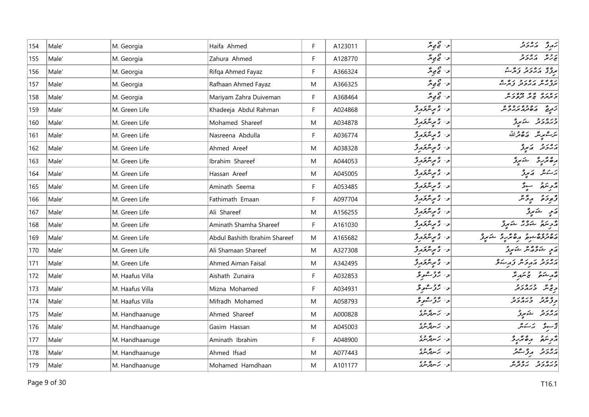| 154 | Male' | M. Georgia      | Haifa Ahmed                   | F  | A123011 | وسيح فر محر                                          | ر<br>سرگر میگردند                                    |
|-----|-------|-----------------|-------------------------------|----|---------|------------------------------------------------------|------------------------------------------------------|
| 155 | Male' | M. Georgia      | Zahura Ahmed                  | F  | A128770 | $rac{2}{2}$ $rac{2}{2}$                              | ر و پر در در<br>بح <sup>ر</sup> بر مرکز مرکز         |
| 156 | Male' | M. Georgia      | Rifqa Ahmed Fayaz             | F. | A366324 | احراء مح مح وتر<br> حراء محمد                        | بروثة أرور وأرواح                                    |
| 157 | Male' | M. Georgia      | Rafhaan Ahmed Fayaz           | M  | A366325 | وسمع في وتر                                          | ره به ه بروبرد برنور<br>بروبرس پربرد تر ترش          |
| 158 | Male' | M. Georgia      | Mariyam Zahra Duiveman        | F  | A368464 | و· في مح مرَّ                                        | ג 2000 שיש 1000 ש<br>בינו <i>ק</i> ב ישינ נקפבית     |
| 159 | Male' | M. Green Life   | Khadeeja Abdul Rahman         | F  | A024868 | د ، د بر پرېزمرو                                     | ر ه و ه ر ه د ه<br>پره تر پر <i>پر چ</i> س<br>ترىرقى |
| 160 | Male' | M. Green Life   | Mohamed Shareef               | M  | A034878 | د ، د پر پروگرو                                      | ورەرو خىرو                                           |
| 161 | Male' | M. Green Life   | Nasreena Abdulla              | F. | A036774 | د· گ <sub>ە بېر</sub> ىرى <i>دۇر</i> ۋ               | ىترىشمىيەتتر كەھ قراللە                              |
| 162 | Male' | M. Green Life   | Ahmed Areef                   | M  | A038328 | د· دُبېش <del>زَ</del> مرِرْ                         | أرەر دىرو                                            |
| 163 | Male' | M. Green Life   | Ibrahim Shareef               | M  | A044053 | د ، د بر پرو <sub>گرو</sub> ژ                        | ەر ھەترىر <i>2</i><br>ے موثر                         |
| 164 | Male' | M. Green Life   | Hassan Areef                  | M  | A045005 | د· د م <sub>ی</sub> شر <i>څه د</i> و                 | يز کے مگر مگر توریخ                                  |
| 165 | Male' | M. Green Life   | Aminath Seema                 | F. | A053485 | د· گ <sub>ە بېر</sub> شرى <i>گەر</i> بى              | أرمر وسرة<br>سيرژ                                    |
| 166 | Male' | M. Green Life   | Fathimath Emaan               | F  | A097704 | د· گ <sub>ە بېر</sub> ىرى <i>دۇر</i> ۋ               | بەۋىتر<br>ۇ بوز ئ <sub>ە</sub>                       |
| 167 | Male' | M. Green Life   | Ali Shareef                   | M  | A156255 | د ، د پر پر پروکړو                                   | أركموا المشاموقى                                     |
| 168 | Male' | M. Green Life   | Aminath Shamha Shareef        | F  | A161030 | د ، د بر پرېزمرو                                     | أأوسم شرور خرير                                      |
| 169 | Male' | M. Green Life   | Abdul Bashith Ibrahim Shareef | M  | A165682 | <sub>د گ</sub> وپېر تر <sub>م</sub> رو               | رە دە ئەشرى مەندىر ئىسىر<br>مەھەر ئەھمىرى ئىسىر      |
| 170 | Male' | M. Green Life   | Ali Shamaan Shareef           | M  | A327308 | <sub>د</sub> . ، دېمپر شر <i>ورو</i>                 | أركمي الشرورة مكراكل الشريرة                         |
| 171 | Male' | M. Green Life   | <b>Ahmed Aiman Faisal</b>     | M  | A342495 | <sub>د</sub> . ، د <sub>ُ بې</sub> شر <i>ىز</i> بر ژ | גפגב הקביל צקי-יב                                    |
| 172 | Male' | M. Haafus Villa | Aishath Zunaira               | F. | A032853 | .<br>د روسهورگ                                       | أقهر منكفى تمخ مترمر مكر                             |
| 173 | Male' | M. Haafus Villa | Mizna Mohamed                 | F  | A034931 | ە بەر ئەقرىسى ئەتىر                                  | و ده پوره د د                                        |
| 174 | Male' | M. Haafus Villa | Mifradh Mohamed               | M  | A058793 | د . گ <sup>و</sup> گر ش <sub>مو</sub> گر             | ە بەد دىرە دە<br>جۇنىگىر جەمەدىر                     |
| 175 | Male' | M. Handhaanuge  | Ahmed Shareef                 | M  | A000828 | و- كەسەگەرى                                          | پرورو شکرو                                           |
| 176 | Male' | M. Handhaanuge  | Gasim Hassan                  | M  | A045003 | و٠ ﺋﯩﺮﯨﮕﯩﺮﻯ                                          | تخسرى كالكامل                                        |
| 177 | Male' | M. Handhaanuge  | Aminath Ibrahim               | F  | A048900 | و٠ ﺋﯩﺮﯨﮕﯩﺮﯨ                                          | أأدخر المتوافق والمحافظ والمحر                       |
| 178 | Male' | M. Handhaanuge  | Ahmed Ifsad                   | M  | A077443 | د · كەسەگەردى                                        | أرور وو مروث                                         |
| 179 | Male' | M. Handhaanuge  | Mohamed Hamdhaan              | M  | A101177 | و٠ ﺋﯩﺮﯨﮕﯩﺮﻯ                                          | وره رو ده ده<br><i>چن</i> ه <i>چ</i> نر بروترس       |
|     |       |                 |                               |    |         |                                                      |                                                      |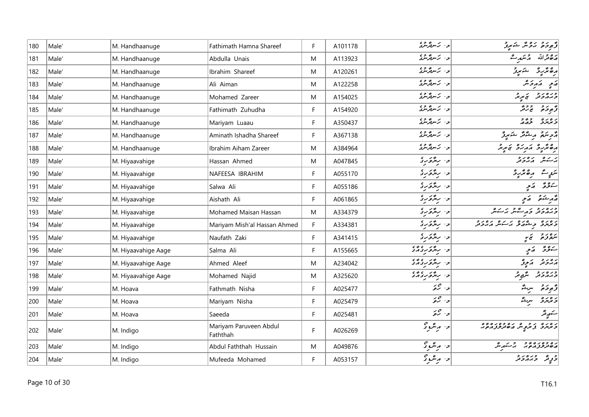| 180 | Male' | M. Handhaanuge      | Fathimath Hamna Shareef            | F           | A101178 | <sub>ج</sub> . کەسەتگەنىزى                                                                                                                           | تو پر د برونګر ځمړن                                                  |
|-----|-------|---------------------|------------------------------------|-------------|---------|------------------------------------------------------------------------------------------------------------------------------------------------------|----------------------------------------------------------------------|
| 181 | Male' | M. Handhaanuge      | Abdulla Unais                      | M           | A113923 | و٠ ﺋﯩﺮﯗﺭﯨﺮﯗ                                                                                                                                          | أرة قرالله مرتتمه ع                                                  |
| 182 | Male' | M. Handhaanuge      | Ibrahim Shareef                    | M           | A120261 | و٠ ﺋﯩﺮﯗﺭﯨﺮﯗ                                                                                                                                          | أرەنۇرۇ شېرۇ                                                         |
| 183 | Male' | M. Handhaanuge      | Ali Aiman                          | M           | A122258 | و٠ ﺋﯩﺮﯗﺭﯨﺮﯗ                                                                                                                                          | أماسي أماركا شركت                                                    |
| 184 | Male' | M. Handhaanuge      | Mohamed Zareer                     | M           | A154025 | و٠ ﺋﯩﺮﯗﺭﯨﺮﯗ                                                                                                                                          | ورەرو پەيدى                                                          |
| 185 | Male' | M. Handhaanuge      | Fathimath Zuhudha                  | F.          | A154920 | و٠ ﺋﯩﺮﯗﺭﯨﺮﯗ                                                                                                                                          | قرم دور                                                              |
| 186 | Male' | M. Handhaanuge      | Mariyam Luaau                      | $\mathsf F$ | A350437 | و٠ ﺋﯩﺮﯗﺭﯨﺮﯗ                                                                                                                                          | ג סגם - כביב<br><i>בינת</i> ב - בג'ו <i>ג</i>                        |
| 187 | Male' | M. Handhaanuge      | Aminath Ishadha Shareef            | F.          | A367138 | و- کرسوگرسری                                                                                                                                         | ۇرمىتى مەشكە خىير                                                    |
| 188 | Male' | M. Handhaanuge      | Ibrahim Aiham Zareer               | M           | A384964 | و . که سرچرسری                                                                                                                                       |                                                                      |
| 189 | Male' | M. Hiyaavahige      | Hassan Ahmed                       | M           | A047845 | و <sub>`</sub> رگروگرو                                                                                                                               | يرك مده د و د                                                        |
| 190 | Male' | M. Hiyaavahige      | NAFEESA IBRAHIM                    | $\mathsf F$ | A055170 | و . رېژو <i>ر</i> و                                                                                                                                  | سَمِيتْ رەھمەرد                                                      |
| 191 | Male' | M. Hiyaavahige      | Salwa Ali                          | F.          | A055186 | ح به مردگری دی<br>مرد مردگر                                                                                                                          | سەۋە كەيپ                                                            |
| 192 | Male' | M. Hiyaavahige      | Aishath Ali                        | F.          | A061865 | ح به مردگری<br>مردگر گر                                                                                                                              | أقهر شدة أقامي                                                       |
| 193 | Male' | M. Hiyaavahige      | Mohamed Maisan Hassan              | M           | A334379 | وسيرتز كردني                                                                                                                                         | ورەرو رىرگە ئەسكىر                                                   |
| 194 | Male' | M. Hiyaavahige      | Mariyam Mish'al Hassan Ahmed       | F.          | A334381 | و <sub>: س</sub> رو مرد<br> و: سر مروسری                                                                                                             | נ סנים - כילי הריישית המיכית                                         |
| 195 | Male' | M. Hiyaavahige      | Naufath Zaki                       | F.          | A341415 | د به برگری دی<br>بر                                                                                                                                  | يرە ئەچ ئەس                                                          |
| 196 | Male' | M. Hiyaavahige Aage | Salma Ali                          | F           | A155665 | و ۱۶۰۰ مرکز در ۲۸۶<br>در سرگوری در                                                                                                                   | سەۋۇ<br>ەنجە                                                         |
| 197 | Male' | M. Hiyaavahige Aage | Ahmed Aleef                        | ${\sf M}$   | A234042 | و به مرد و ده و                                                                                                                                      | پروژو   پروژ                                                         |
| 198 | Male' | M. Hiyaavahige Aage | Mohamed Najid                      | ${\sf M}$   | A325620 | ه به مردم در محمد به در حاله براسم<br>در سرگرفته براسم در حاله براسم براسم براسم براسم براسم براسم براسم براسم براسم براسم براسم براسم براسم براسم ب | سگھ تر<br>و ره ر و<br>تر پر ژ تر                                     |
| 199 | Male' | M. Hoava            | Fathmath Nisha                     | F           | A025477 | و· گھ                                                                                                                                                | وٌ ۾ وَ جَ " سرڪُ                                                    |
| 200 | Male' | M. Hoava            | Mariyam Nisha                      | $\mathsf F$ | A025479 | و· رُهَ                                                                                                                                              | ر ه ر ه<br><del>و</del> بربرو<br>سرشگ                                |
| 201 | Male' | M. Hoava            | Saeeda                             | $\mathsf F$ | A025481 | و· رُهَ                                                                                                                                              | سەمەتىر                                                              |
| 202 | Male' | M. Indigo           | Mariyam Paruveen Abdul<br>Faththah | F           | A026269 | ا <sub>ح</sub> . مرشوع                                                                                                                               | ג סגם ג כ"ס גם כסגם בים.<br>כ" <i>ניתב "צ"מ</i> מים <i>נגפצ</i> מים. |
| 203 | Male' | M. Indigo           | Abdul Faththah Hussain             | ${\sf M}$   | A049876 | د. مرشورم                                                                                                                                            | גם כם גם ג'ב - 2 האת ייצי<br>השיניו <i>ב נ</i> ופג' ה' האיניי        |
| 204 | Male' | M. Indigo           | Mufeeda Mohamed                    | F           | A053157 | اد . مرسور                                                                                                                                           | و دره دره در د                                                       |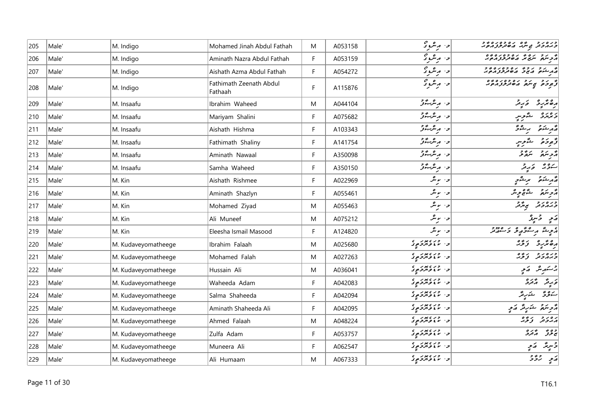| 205 | Male' | M. Indigo           | Mohamed Jinah Abdul Fathah         | M           | A053158 | <sub>د م</sub> همونج<br>デーシ                       | 3,00,000 000 000000<br>3,000,000 000,000,000              |
|-----|-------|---------------------|------------------------------------|-------------|---------|---------------------------------------------------|-----------------------------------------------------------|
| 206 | Male' | M. Indigo           | Aminath Nazra Abdul Fathah         | F           | A053159 | ل <i>ى. م</i> ېشون <sub>ى</sub>                   | ه در ده ده ده ده ده ده<br>تروسی سرج ند ماه تروز مرد       |
| 207 | Male' | M. Indigo           | Aishath Azma Abdul Fathah          | F           | A054272 | د. رشود                                           | ه در در ده روود ده ده د<br>په شوه پرې پره ترمونۍ م        |
| 208 | Male' | M. Indigo           | Fathimath Zeenath Abdul<br>Fathaah | F           | A115876 | د· مرسمو ځ                                        | و د د پره ده ده ده ده ولوده.<br>ژوختمو په شه ماه مرد زمان |
| 209 | Male' | M. Insaafu          | Ibrahim Waheed                     | M           | A044104 | ى . مەشرىئىتى <i>ق</i>                            | رە ئەر ئەر                                                |
| 210 | Male' | M. Insaafu          | Mariyam Shalini                    | F           | A075682 | ى . مەشرى <i>پىۋ</i>                              | ر ه ر ه<br><del>د</del> بربرگ<br>۔<br>مشوسر               |
| 211 | Male' | M. Insaafu          | Aishath Hishma                     | F           | A103343 | ى . مەش <i>بى</i> گۇ                              | ر<br>د که د مشوی<br>برشوش                                 |
| 212 | Male' | M. Insaafu          | Fathimath Shaliny                  | $\mathsf F$ | A141754 | ى . مەشرى <i>پىۋ</i>                              | تزجر حقم المشتر المعني                                    |
| 213 | Male' | M. Insaafu          | Aminath Nawaal                     | F           | A350098 | د ۱ مرگرمن <sup>و</sup>                           | ړ څه سره<br>سرە د                                         |
| 214 | Male' | M. Insaafu          | Samha Waheed                       | F           | A350150 | د . مرىڅرىدۇ                                      | سەۋىژ<br>ءَ ٻريمر                                         |
| 215 | Male' | M. Kin              | Aishath Rishmee                    | F           | A022969 | چ، پر مگر                                         | پ <sup>ر</sup> مرشوحو<br>بمرمشو                           |
| 216 | Male' | M. Kin              | Aminath Shazlyn                    | F           | A055461 | چ، پړینګر                                         | ڪُن <sup>م</sup> وچر<br>پ <sup>ر</sup> تر سرچ             |
| 217 | Male' | M. Kin              | Mohamed Ziyad                      | M           | A055463 | چ، پر مگر                                         | و ره ر د<br><i>و پر</i> و تر<br>بح پڑ تر<br>س             |
| 218 | Male' | M. Kin              | Ali Muneef                         | M           | A075212 | چ، پر مگر                                         | أريمو الحسيقى                                             |
| 219 | Male' | M. Kin              | Eleesha Ismail Masood              | $\mathsf F$ | A124820 | چ، پړینګر                                         | ە سىۋە ئېر مەدر<br>ې پر په مخ                             |
| 220 | Male' | M. Kudaveyomatheege | Ibrahim Falaah                     | M           | A025680 | ר קר זארק<br>קירו של קורק קיב                     | ە ھەترىرى<br>برھەترىرى<br>ترتزُرُ                         |
| 221 | Male' | M. Kudaveyomatheege | Mohamed Falah                      | M           | A027263 | و . در ، پر ر ،<br>و . ما يا و در دې د            | ورەر در دە<br>چەپرچى ۋىچە                                 |
| 222 | Male' | M. Kudaveyomatheege | Hussain Ali                        | M           | A036041 | و . در ، پر ر ،<br>و . ما . و در <del>و</del> و . | برسكهر شركر                                               |
| 223 | Male' | M. Kudaveyomatheege | Waheeda Adam                       | F           | A042083 | و . در ، پر ر ،<br>و . <b>س</b> ان و در حرمي ک    | د پر په دوره<br>وکړې مرمر                                 |
| 224 | Male' | M. Kudaveyomatheege | Salma Shaheeda                     | F           | A042094 |                                                   | ستوقر<br>شترىر تىگر                                       |
| 225 | Male' | M. Kudaveyomatheege | Aminath Shaheeda Ali               | F           | A042095 | כ יע גיבי ג'<br>כי ע ג פו <i>נ</i> בק <i>י</i> ב  | مُرْحِ سَمَرٍ صَدِيرٌ الْمَاحِي                           |
| 226 | Male' | M. Kudaveyomatheege | Ahmed Falaah                       | M           | A048224 | و . در ، پر ر ،<br>و . <b>س</b> اع در <i>چه</i> د | رەر دىرە                                                  |
| 227 | Male' | M. Kudaveyomatheege | Zulfa Adam                         | F           | A053757 | و . در ، پر ر ،<br>و . ما يا توجر چرم ،           | و ه و.<br>سي مرکز<br>پور ہ<br>پر تر تر                    |
| 228 | Male' | M. Kudaveyomatheege | Muneera Ali                        | F           | A062547 | כי מגניגים<br>כי מגפו <i>נ</i> פי <sub>ק</sub> ב  | ۇ بىرىگە<br>ەتىر                                          |
| 229 | Male' | M. Kudaveyomatheege | Ali Humaam                         | M           | A067333 | و . در ، پر ر ،<br>و . لا ۽ وير ويو ي             | ړې رژژ                                                    |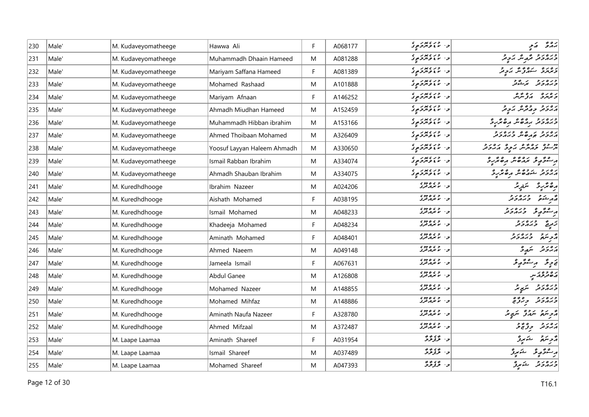| 230 | Male' | M. Kudaveyomatheege | Hawwa Ali                   | F  | A068177 | כ י מגישים בי<br>כי מגיפו <i>ת כ</i> תב   | پره څه کمنې                                       |
|-----|-------|---------------------|-----------------------------|----|---------|-------------------------------------------|---------------------------------------------------|
| 231 | Male' | M. Kudaveyomatheege | Muhammadh Dhaain Hameed     | M  | A081288 |                                           | ورەرو ئۇرىگە ئەچ                                  |
| 232 | Male' | M. Kudaveyomatheege | Mariyam Saffana Hameed      | F. | A081389 | و . در ، پر ر ،<br>و . لا ۽ و در چ چو     | رەرە بەۋە پەچ                                     |
| 233 | Male' | M. Kudaveyomatheege | Mohamed Rashaad             | M  | A101888 | ר קנגאבניה<br>קיי ע ציפולפיק צ            | وره رو د برگام<br><i>وبرو</i> ونر برگامر          |
| 234 | Male' | M. Kudaveyomatheege | Mariyam Afnaan              | F. | A146252 |                                           | رەرە رەپرە                                        |
| 235 | Male' | M. Kudaveyomatheege | Ahmadh Miudhan Hameed       | M  | A152459 | و . در ، پر ر ،<br>و . ما يا توجر چر تو د | גם גב בבים הבב                                    |
| 236 | Male' | M. Kudaveyomatheege | Muhammadh Hibban ibrahim    | M  | A153166 |                                           |                                                   |
| 237 | Male' | M. Kudaveyomatheege | Ahmed Thoibaan Mohamed      | M  | A326409 | د در پرد د<br>د لاغ و در د مور            | ג סג כ ה גם כגם גב<br>ג ג כ ט ה א ה שיט כ ג ג כ ט |
| 238 | Male' | M. Kudaveyomatheege | Yoosuf Layyan Haleem Ahmadh | M  | A330650 | و . د د ، ، د .<br>و . م ، و در د مو د    | מגם גם זם גם גם גם גם.<br>ת- צ' בגתית גבב גמבת    |
| 239 | Male' | M. Kudaveyomatheege | Ismail Rabban Ibrahim       | M  | A334074 | و . در ، پر ر ،<br>و . ما ، و در و مو د   | ر صوره ده ده ده ندره                              |
| 240 | Male' | M. Kudaveyomatheege | Ahmadh Shauban Ibrahim      | M  | A334075 | و . در ، پر ر ،<br>و . ما يا توجر چر تو   | ره رو درونه و ه و ه<br>مربرونر شوره شر مهربر      |
| 241 | Male' | M. Kuredhdhooge     | Ibrahim Nazeer              | M  | A024206 | و به ۵ وو د<br>و ۰ ما مورد توری           | ەر ھەتئەر <i>ج</i><br>سكغريمه                     |
| 242 | Male' | M. Kuredhdhooge     | Aishath Mohamed             | F  | A038195 | و به دو ود و<br>و ۰ ما مورد توری          | ر<br>دگرم شوه<br>و رە ر د<br>تر پروتر             |
| 243 | Male' | M. Kuredhdhooge     | Ismail Mohamed              | M  | A048233 | و ، مو وو ،<br>و ، ما مو پر توری          | و عرصور وره د د                                   |
| 244 | Male' | M. Kuredhdhooge     | Khadeeja Mohamed            | F  | A048234 | و ، رو و و و و و<br>و ، رم مورد توری      | ترمدچٌ<br>و رە ر د<br><i>د بە</i> دىر             |
| 245 | Male' | M. Kuredhdhooge     | Aminath Mohamed             | F. | A048401 | و ، وه وو ،<br>و ، ما مورد تور            | ړځ سرچ<br>و ره ر د<br>رنگرونر                     |
| 246 | Male' | M. Kuredhdhooge     | Ahmed Naeem                 | M  | A049148 | و به دوه وده<br>و ۰ ما مورد توری          | גפיכ הבכ                                          |
| 247 | Male' | M. Kuredhdhooge     | Jameela Ismail              | F  | A067631 | و ، وه وو ،<br>و ، ما مورد تور            | مەسىۋەپەتى<br>تع تر تخر                           |
| 248 | Male' | M. Kuredhdhooge     | <b>Abdul Ganee</b>          | M  | A126808 | و به دوه وده<br>و ۰ ما مورد توری          | ره ده وه نمبر<br>اړه مرمرز س                      |
| 249 | Male' | M. Kuredhdhooge     | Mohamed Nazeer              | M  | A148855 | و پر ه وو پر<br>و ۰ ما مورد توری          | و ر ه ر و<br>و بر پر <del>و</del> تر<br>ىئىي تىر  |
| 250 | Male' | M. Kuredhdhooge     | Mohamed Mihfaz              | M  | A148886 | و به دوه وده<br>و ۰ ما مورد توری          | ورەرو ورژی                                        |
| 251 | Male' | M. Kuredhdhooge     | Aminath Naufa Nazeer        | F. | A328780 | و به دو ود و<br>و ۰ ما مورد توری          | أزوينتي يتدثر لتبيته                              |
| 252 | Male' | M. Kuredhdhooge     | Ahmed Mifzaal               | M  | A372487 | و به دوه وده<br>و ۰ ما مورد توری          | גפגב ברשב                                         |
| 253 | Male' | M. Laape Laamaa     | Aminath Shareef             | F  | A031954 | ە بۇ ئۇقۇ                                 | ړڻ سره<br>ے مور                                   |
| 254 | Male' | M. Laape Laamaa     | Ismail Shareef              | M  | A037489 | و . نۇۋىۋ                                 | وحقوقه<br>ڪ پرڙ<br>ش                              |
| 255 | Male' | M. Laape Laamaa     | Mohamed Shareef             | M  | A047393 | و . ئۇنۇڭر                                | ورەرو شەيرۇ                                       |
|     |       |                     |                             |    |         |                                           |                                                   |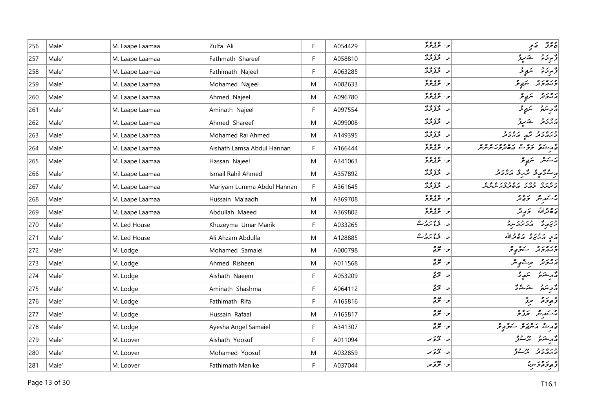| <sub>ى</sub> . ئۇزۇۋ<br>Male'<br>Zulfa Ali<br>F<br>A054429<br>256<br>M. Laape Laamaa<br>و . نۇۋۇڭ<br>257<br>Male'<br>Fathmath Shareef<br>F.<br>A058810<br>M. Laape Laamaa<br>و . نۇۋىۋ<br>258<br>Male'<br>Fathimath Najeel<br>$\mathsf F$<br>A063285<br>M. Laape Laamaa<br>و . نۇۋۇۋ<br>Male'<br>259<br>Mohamed Najeel<br>A082633<br>M. Laape Laamaa<br>M<br>و . نۇۋۇۋ<br>A096780<br>260<br>Male'<br>M. Laape Laamaa<br>Ahmed Najeel<br>M<br>و٠ ۇزۇۋ<br>$\mathsf F$<br>A097554<br>261<br>Male'<br>M. Laape Laamaa<br>Aminath Najeel<br>و· نَوْوَنْزَرَّ<br>262<br>Male'<br>Ahmed Shareef<br>M<br>A099008<br>M. Laape Laamaa<br>  <sub>ى:</sub> ئۇزۇ <i>د</i><br>A149395<br>263<br>Male'<br>Mohamed Rai Ahmed<br>${\sf M}$<br>M. Laape Laamaa<br>  د ۰ نۇۋۇ ئ<br>264<br>Male'<br>Aishath Lamsa Abdul Hannan<br>F<br>A166444<br>M. Laape Laamaa | $\left  \begin{array}{cc} \frac{1}{2} & \frac{3}{2} & \frac{3}{2} & \frac{3}{2} & \frac{3}{2} & \frac{3}{2} & \frac{3}{2} & \frac{3}{2} & \frac{3}{2} & \frac{3}{2} & \frac{3}{2} & \frac{3}{2} & \frac{3}{2} & \frac{3}{2} & \frac{3}{2} & \frac{3}{2} & \frac{3}{2} & \frac{3}{2} & \frac{3}{2} & \frac{3}{2} & \frac{3}{2} & \frac{3}{2} & \frac{3}{2} & \frac{3}{2} & \frac{3}{2} & \frac{3}{2} & \frac$<br>وَجوحَمَ شَهْرِوْ<br>وتجوزة<br>ورەرو سەر<br>رەرو ئىرو<br>أأدرسكم أأستبي<br>رەرە شەيرۇ<br>ورەرو شهر كەردو<br>ه در د ده په ده ده ده په ه<br>پهرشوي نور شه پره ترم پرس<br>ىزىسەش سىرى ئ |
|-----------------------------------------------------------------------------------------------------------------------------------------------------------------------------------------------------------------------------------------------------------------------------------------------------------------------------------------------------------------------------------------------------------------------------------------------------------------------------------------------------------------------------------------------------------------------------------------------------------------------------------------------------------------------------------------------------------------------------------------------------------------------------------------------------------------------------------------------|------------------------------------------------------------------------------------------------------------------------------------------------------------------------------------------------------------------------------------------------------------------------------------------------------------------------------------------------------------------------------------------------------------------------------------------------------------------------------------------------------------------------------------------------------------------------------------------------------|
|                                                                                                                                                                                                                                                                                                                                                                                                                                                                                                                                                                                                                                                                                                                                                                                                                                               |                                                                                                                                                                                                                                                                                                                                                                                                                                                                                                                                                                                                      |
|                                                                                                                                                                                                                                                                                                                                                                                                                                                                                                                                                                                                                                                                                                                                                                                                                                               |                                                                                                                                                                                                                                                                                                                                                                                                                                                                                                                                                                                                      |
|                                                                                                                                                                                                                                                                                                                                                                                                                                                                                                                                                                                                                                                                                                                                                                                                                                               |                                                                                                                                                                                                                                                                                                                                                                                                                                                                                                                                                                                                      |
|                                                                                                                                                                                                                                                                                                                                                                                                                                                                                                                                                                                                                                                                                                                                                                                                                                               |                                                                                                                                                                                                                                                                                                                                                                                                                                                                                                                                                                                                      |
|                                                                                                                                                                                                                                                                                                                                                                                                                                                                                                                                                                                                                                                                                                                                                                                                                                               |                                                                                                                                                                                                                                                                                                                                                                                                                                                                                                                                                                                                      |
|                                                                                                                                                                                                                                                                                                                                                                                                                                                                                                                                                                                                                                                                                                                                                                                                                                               |                                                                                                                                                                                                                                                                                                                                                                                                                                                                                                                                                                                                      |
|                                                                                                                                                                                                                                                                                                                                                                                                                                                                                                                                                                                                                                                                                                                                                                                                                                               |                                                                                                                                                                                                                                                                                                                                                                                                                                                                                                                                                                                                      |
|                                                                                                                                                                                                                                                                                                                                                                                                                                                                                                                                                                                                                                                                                                                                                                                                                                               |                                                                                                                                                                                                                                                                                                                                                                                                                                                                                                                                                                                                      |
|                                                                                                                                                                                                                                                                                                                                                                                                                                                                                                                                                                                                                                                                                                                                                                                                                                               |                                                                                                                                                                                                                                                                                                                                                                                                                                                                                                                                                                                                      |
| <sub>ى</sub> . ئۇزۇۋ<br>Hassan Najeel<br>A341063<br>265<br>Male'<br>M. Laape Laamaa<br>M                                                                                                                                                                                                                                                                                                                                                                                                                                                                                                                                                                                                                                                                                                                                                      |                                                                                                                                                                                                                                                                                                                                                                                                                                                                                                                                                                                                      |
| <sub>ى</sub> . ئۇزۇۋ<br>Male'<br>A357892<br>266<br>Ismail Rahil Ahmed<br>M. Laape Laamaa<br>M                                                                                                                                                                                                                                                                                                                                                                                                                                                                                                                                                                                                                                                                                                                                                 |                                                                                                                                                                                                                                                                                                                                                                                                                                                                                                                                                                                                      |
| <sub>ى</sub> . ئۇزۇۋ<br>F<br>Male'<br>Mariyam Lumma Abdul Hannan<br>A361645<br>267<br>M. Laape Laamaa                                                                                                                                                                                                                                                                                                                                                                                                                                                                                                                                                                                                                                                                                                                                         | ג סגם כםג גם כםגם שם.<br>כ <i>אוריכ יכורכ הסתיכה</i> ייקייקייק                                                                                                                                                                                                                                                                                                                                                                                                                                                                                                                                       |
| <sub>ى:</sub> ئۇز <i>ۇ</i> ر<br>268<br>Male'<br>Hussain Ma'aadh<br>A369708<br>M. Laape Laamaa<br>M                                                                                                                                                                                                                                                                                                                                                                                                                                                                                                                                                                                                                                                                                                                                            | جر سکه شور از کار محمد تعر                                                                                                                                                                                                                                                                                                                                                                                                                                                                                                                                                                           |
| و . نۇۋىزى<br>269<br>Male'<br>A369802<br>M. Laape Laamaa<br>Abdullah Maeed<br>M                                                                                                                                                                                                                                                                                                                                                                                                                                                                                                                                                                                                                                                                                                                                                               | بره والله كرمر و                                                                                                                                                                                                                                                                                                                                                                                                                                                                                                                                                                                     |
| د . نوع ترور <u>ه</u><br>270<br>Male'<br>M. Led House<br>Khuzeyma Umar Manik<br>F<br>A033265                                                                                                                                                                                                                                                                                                                                                                                                                                                                                                                                                                                                                                                                                                                                                  | בגב" בניבית                                                                                                                                                                                                                                                                                                                                                                                                                                                                                                                                                                                          |
| د . ی د برد ه<br>271<br>Male'<br>M. Led House<br>Ali Ahzam Abdulla<br>A128885<br>M                                                                                                                                                                                                                                                                                                                                                                                                                                                                                                                                                                                                                                                                                                                                                            | أرويه وترتيحه ورصائله                                                                                                                                                                                                                                                                                                                                                                                                                                                                                                                                                                                |
| و· نخونع<br>Mohamed Samaiel<br>A000798<br>272<br>Male'<br>M. Lodge<br>M                                                                                                                                                                                                                                                                                                                                                                                                                                                                                                                                                                                                                                                                                                                                                                       | ورەرو سۇرو                                                                                                                                                                                                                                                                                                                                                                                                                                                                                                                                                                                           |
| و· مخزنج<br>273<br>Male'<br>Ahmed Risheen<br>A011568<br>M<br>M. Lodge                                                                                                                                                                                                                                                                                                                                                                                                                                                                                                                                                                                                                                                                                                                                                                         | أرورو برعويه                                                                                                                                                                                                                                                                                                                                                                                                                                                                                                                                                                                         |
| و· مخزنع<br>$\mathsf F$<br>274<br>Male'<br>Aishath Naeem<br>A053209<br>M. Lodge                                                                                                                                                                                                                                                                                                                                                                                                                                                                                                                                                                                                                                                                                                                                                               | مەر ئىم ئىم ئى                                                                                                                                                                                                                                                                                                                                                                                                                                                                                                                                                                                       |
| و· مخزنع<br>Male'<br>Aminath Shashma<br>$\mathsf F$<br>A064112<br>275<br>M. Lodge                                                                                                                                                                                                                                                                                                                                                                                                                                                                                                                                                                                                                                                                                                                                                             | أأدوسكم التكاشر                                                                                                                                                                                                                                                                                                                                                                                                                                                                                                                                                                                      |
| و· مخزنج<br>F<br>Fathimath Rifa<br>276<br>Male'<br>M. Lodge<br>A165816                                                                                                                                                                                                                                                                                                                                                                                                                                                                                                                                                                                                                                                                                                                                                                        | وٌودَهُ بِروٌ                                                                                                                                                                                                                                                                                                                                                                                                                                                                                                                                                                                        |
| و· مخزنج<br>Male'<br>Hussain Rafaal<br>277<br>M. Lodge<br>M<br>A165817                                                                                                                                                                                                                                                                                                                                                                                                                                                                                                                                                                                                                                                                                                                                                                        | بركستهر شركونو                                                                                                                                                                                                                                                                                                                                                                                                                                                                                                                                                                                       |
| و· مخزنج<br>$\mathsf F$<br>278<br>Male'<br>A341307<br>M. Lodge<br>Ayesha Angel Samaiel                                                                                                                                                                                                                                                                                                                                                                                                                                                                                                                                                                                                                                                                                                                                                        | در الله الله على الله على الله على الله على الله على الله على الله على الله على الله على الله على ال                                                                                                                                                                                                                                                                                                                                                                                                                                                                                                 |
| وسيحيض بو<br>Aishath Yoosuf<br>F<br>A011094<br>279<br>Male'<br>M. Loover                                                                                                                                                                                                                                                                                                                                                                                                                                                                                                                                                                                                                                                                                                                                                                      | ە ئەرىسىدە تەرجى                                                                                                                                                                                                                                                                                                                                                                                                                                                                                                                                                                                     |
| وسيحيض بو<br>280<br>Male'<br>Mohamed Yoosuf<br>A032859<br>M. Loover<br>M                                                                                                                                                                                                                                                                                                                                                                                                                                                                                                                                                                                                                                                                                                                                                                      | כנים ניבר כם<br>בגהבה היינ                                                                                                                                                                                                                                                                                                                                                                                                                                                                                                                                                                           |
| وسيحص مر<br>281<br>Male'<br>F<br>A037044<br>M. Loover<br>Fathimath Manike                                                                                                                                                                                                                                                                                                                                                                                                                                                                                                                                                                                                                                                                                                                                                                     | ۇ ئەر قەر ئىرىئە                                                                                                                                                                                                                                                                                                                                                                                                                                                                                                                                                                                     |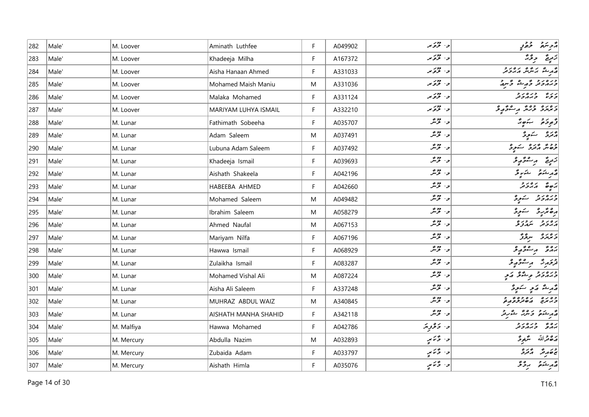| 282 | Male' | M. Loover  | Aminath Luthfee      | F           | A049902 | وسيحتى بر                 | ة و سَمَّة - وَجْرَأٍ<br>- وَمَرِيعٌ - وَتَحْدُّ<br>- وَمَرِيعٌ - وَتَحْدُّثُ - وَوَتَرَ |
|-----|-------|------------|----------------------|-------------|---------|---------------------------|------------------------------------------------------------------------------------------|
| 283 | Male' | M. Loover  | Khadeeja Milha       | F.          | A167372 | وسيحص مر                  |                                                                                          |
| 284 | Male' | M. Loover  | Aisha Hanaan Ahmed   | $\mathsf F$ | A331033 | وسيحص مر                  |                                                                                          |
| 285 | Male' | M. Loover  | Mohamed Maish Maniu  | M           | A331036 | وسيحص مر                  |                                                                                          |
| 286 | Male' | M. Loover  | Malaka Mohamed       | F.          | A331124 | وسيحتى بر                 | دروس وره دو                                                                              |
| 287 | Male' | M. Loover  | MARIYAM LUHYA ISMAIL | F.          | A332210 | وسيحتى بر                 | נ סנים 200 תשתת ב                                                                        |
| 288 | Male' | M. Lunar   | Fathimath Sobeeha    | F.          | A035707 | د. نژینر                  | $20 - 222$                                                                               |
| 289 | Male' | M. Lunar   | Adam Saleem          | ${\sf M}$   | A037491 | د . تژنگر                 | ړو خود                                                                                   |
| 290 | Male' | M. Lunar   | Lubuna Adam Saleem   | F           | A037492 | ى بۇنىگە                  | ووج مجره سود                                                                             |
| 291 | Male' | M. Lunar   | Khadeeja Ismail      | $\mathsf F$ | A039693 | ە بە تۈش                  | تزمريق ورسفتموينى                                                                        |
| 292 | Male' | M. Lunar   | Aishath Shakeela     | F           | A042196 | و- تۇنىگ                  | و<br>مەر شىم مىسىر                                                                       |
| 293 | Male' | M. Lunar   | HABEEBA AHMED        | F           | A042660 | د . بۇنىگە                | $7701$ 60%                                                                               |
| 294 | Male' | M. Lunar   | Mohamed Saleem       | M           | A049482 | د . تژیگر                 | ورەرو سەرو                                                                               |
| 295 | Male' | M. Lunar   | Ibrahim Saleem       | M           | A058279 | د . تژیگر                 | رەنزىر سىرد                                                                              |
| 296 | Male' | M. Lunar   | Ahmed Naufal         | ${\sf M}$   | A067153 | د . تژنگر                 | أرەر دىرەرە                                                                              |
| 297 | Male' | M. Lunar   | Mariyam Nilfa        | F           | A067196 | ى بۇنتى                   | د بروژ مروژ                                                                              |
| 298 | Male' | M. Lunar   | Hawwa Ismail         | F.          | A068929 | د . تژیگر                 | بره و مؤثر و د                                                                           |
| 299 | Male' | M. Lunar   | Zulaikha Ismail      | F           | A083287 | و- تۇنىگ                  | نرىزىر ئەر مەئزىر ئ                                                                      |
| 300 | Male' | M. Lunar   | Mohamed Vishal Ali   | M           | A087224 | ە بە تۈش                  | ورەرو پەشكى كەپ                                                                          |
| 301 | Male' | M. Lunar   | Aisha Ali Saleem     | $\mathsf F$ | A337248 | ى بەرتىگە                 | وُمِيشٌ وَيَا سَوِدُ                                                                     |
| 302 | Male' | M. Lunar   | MUHRAZ ABDUL WAIZ    | M           | A340845 | د . تژیگر                 |                                                                                          |
| 303 | Male' | M. Lunar   | AISHATH MANHA SHAHID | F.          | A342118 | د . بۇنىگە                | أوالم والمحافظ المحارقة                                                                  |
| 304 | Male' | M. Malfiya | Hawwa Mohamed        | F           | A042786 | د کارگورگر                | ره په وره رو<br>برمرو وبرمرونر                                                           |
| 305 | Male' | M. Mercury | Abdulla Nazim        | M           | A032893 | د · د څنو پېړ             | 50 محمدالله سمَّعوفر                                                                     |
| 306 | Male' | M. Mercury | Zubaida Adam         | F.          | A033797 | -<br> و· ۇر <sub>ىم</sub> | ح <i>کام وقر محمدہ</i>                                                                   |
| 307 | Male' | M. Mercury | Aishath Himla        | $\mathsf F$ | A035076 | د به محمّد سپر            | أقهر خنعى برونخر                                                                         |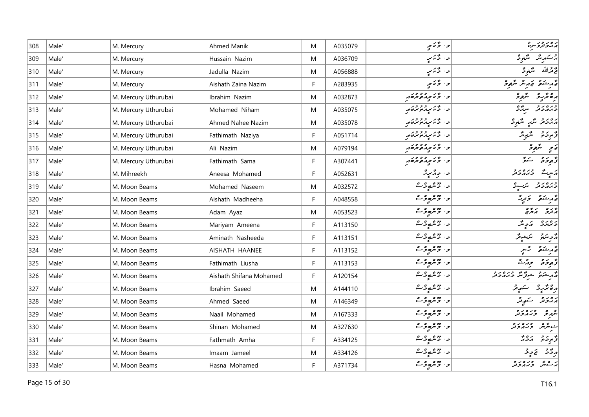| 308 | Male' | M. Mercury           | <b>Ahmed Manik</b>      | M           | A035079 | اد . د څوکمبر                                                                                                                                                                                                                    | ر ہ ر و ر د<br>پر ژونرو س                       |
|-----|-------|----------------------|-------------------------|-------------|---------|----------------------------------------------------------------------------------------------------------------------------------------------------------------------------------------------------------------------------------|-------------------------------------------------|
| 309 | Male' | M. Mercury           | Hussain Nazim           | M           | A036709 | اچ، ځاندې                                                                                                                                                                                                                        | جرسە بەشر<br>سگنجو گر                           |
| 310 | Male' | M. Mercury           | Jadulla Nazim           | M           | A056888 | اح، ځانمې                                                                                                                                                                                                                        | قِمْ قَرْاللّهِ<br>متزوجه                       |
| 311 | Male' | M. Mercury           | Aishath Zaina Nazim     | F           | A283935 | اد . دڅمنو                                                                                                                                                                                                                       | مەر شەق ئەر ئىر ئىگىرو                          |
| 312 | Male' | M. Mercury Uthurubai | Ibrahim Nazim           | M           | A032873 | C. C. L. C. C. C.                                                                                                                                                                                                                | ە ھەترىر ۋ<br>سَّرْهُ رُ                        |
| 313 | Male' | M. Mercury Uthurubai | Mohamed Niham           | M           | A035075 | ر مسیر دور در در در محمد بازده بر این در این در این در این دارد بازد که در این دست در این دست در این دست در ای<br>در این دست در این دست در این دست در این در این در این در این دست در این دست در این دست در این دست در این دست د | د ره د د<br>د بر د د کر<br>سرژو                 |
| 314 | Male' | M. Mercury Uthurubai | Ahmed Nahee Nazim       | M           | A035078 | כי קיית הפיקסת                                                                                                                                                                                                                   | رورو مدَّرِ مَرْمِ و                            |
| 315 | Male' | M. Mercury Uthurubai | Fathimath Naziya        | $\mathsf F$ | A051714 | و شور مورد و من م                                                                                                                                                                                                                | ۇ بو ئەم<br>ىتىرى دىگر                          |
| 316 | Male' | M. Mercury Uthurubai | Ali Nazim               | M           | A079194 | و شو و مرد و مرحوم                                                                                                                                                                                                               | متزوجه<br>ەنىيە                                 |
| 317 | Male' | M. Mercury Uthurubai | Fathimath Sama          | F           | A307441 | כי לעמפי לסת                                                                                                                                                                                                                     | ۇ <sub>ب</sub> ودۇ سۇ                           |
| 318 | Male' | M. Mihreekh          | Aneesa Mohamed          | F           | A052631 | د· دِرْمَزِرْ                                                                                                                                                                                                                    | و رە ر د<br>تر پروتر<br>ر سور محمد<br>م         |
| 319 | Male' | M. Moon Beams        | Mohamed Naseem          | M           | A032572 | د. ژمه ورم                                                                                                                                                                                                                       | ورەرو برىدۇ                                     |
| 320 | Male' | M. Moon Beams        | Aishath Madheeha        | F           | A048558 | د. ژمه ورم                                                                                                                                                                                                                       | مەرشىم كېر                                      |
| 321 | Male' | M. Moon Beams        | Adam Ayaz               | M           | A053523 | د . ژمهور م<br>د . ژمهور                                                                                                                                                                                                         | وره دوه<br>پرترو پرتر <u>ی</u>                  |
| 322 | Male' | M. Moon Beams        | Mariyam Ameena          | F           | A113150 | د . د مر <sub>ت</sub> مور م                                                                                                                                                                                                      | ג 2 גם ג'ב יית                                  |
| 323 | Male' | M. Moon Beams        | Aminath Nasheeda        | F           | A113151 | د. د مرورو م                                                                                                                                                                                                                     | أأترجم أتراسي                                   |
| 324 | Male' | M. Moon Beams        | AISHATH HAANEE          | F           | A113152 | د. ژمه هورگ                                                                                                                                                                                                                      | و مر د کرد.<br>مر<br>ر شبیبه ا                  |
| 325 | Male' | M. Moon Beams        | Fathimath Liusha        | F           | A113153 | د . ژمه هورگ                                                                                                                                                                                                                     | رًّمُودَةً ولَّهُ شَ                            |
| 326 | Male' | M. Moon Beams        | Aishath Shifana Mohamed | F           | A120154 | د. ژمه ورم                                                                                                                                                                                                                       | وگرېشوه شور شر وبرور د<br>مگرېشوه مرکش وبرون    |
| 327 | Male' | M. Moon Beams        | Ibrahim Saeed           | M           | A144110 | د . ژمهور م<br>د . ژمهور                                                                                                                                                                                                         | ەر ھەترىر <i>ۋ</i><br>سکھر فر                   |
| 328 | Male' | M. Moon Beams        | Ahmed Saeed             | M           | A146349 | د . ژم <sub>ه تو</sub> مړ                                                                                                                                                                                                        | رەر ئەر                                         |
| 329 | Male' | M. Moon Beams        | Naail Mohamed           | M           | A167333 | د . د مر <sub>ت</sub> مور م                                                                                                                                                                                                      | و رە ر د<br>تر پروتر<br>سُمه څر                 |
| 330 | Male' | M. Moon Beams        | Shinan Mohamed          | M           | A327630 | כי קייקיים כי<br>כי קייקיים                                                                                                                                                                                                      | ے۔ مگر <i>مگر</i><br>و ره ر و<br>تر <i>د</i> گر |
| 331 | Male' | M. Moon Beams        | Fathmath Amha           | F           | A334125 | د. ژمه ورم                                                                                                                                                                                                                       | وحجوحهم<br>پره پر                               |
| 332 | Male' | M. Moon Beams        | Imaam Jameel            | M           | A334126 | د . ژمهور مه<br>د                                                                                                                                                                                                                | درة و تم ديگر                                   |
| 333 | Male' | M. Moon Beams        | Hasna Mohamed           | F           | A371734 | د. ژمه ووگ                                                                                                                                                                                                                       | ر عرش وره رو                                    |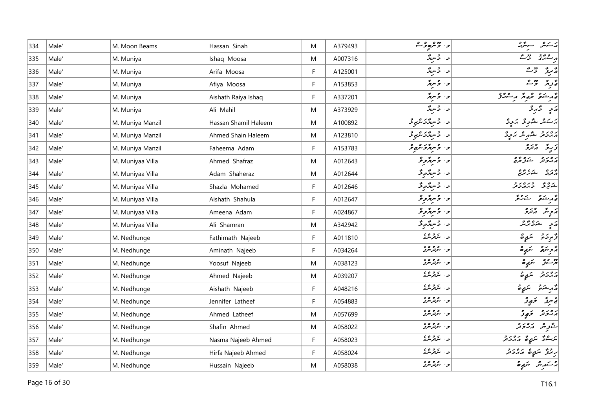| 334 | Male' | M. Moon Beams    | Hassan Sinah         | M         | A379493 | د. ژمرچور م                 | پرستمبر سوینژر                                                 |
|-----|-------|------------------|----------------------|-----------|---------|-----------------------------|----------------------------------------------------------------|
| 335 | Male' | M. Muniya        | Ishaq Moosa          | M         | A007316 | د. ژسرگر                    | $\begin{array}{cc} 2 & 2 & 2 & 0 \\ 2 & 2 & 3 & 0 \end{array}$ |
| 336 | Male' | M. Muniya        | Arifa Moosa          | F         | A125001 | د. ژىپر                     | ەتىرۇ<br>دومثر                                                 |
| 337 | Male' | M. Muniya        | Afiya Moosa          | F         | A153853 | و . و سرگر                  | ړې ده ده                                                       |
| 338 | Male' | M. Muniya        | Aishath Raiya Ishaq  | F         | A337201 | د. د سرگر                   | ה<br>הגיבום ההיה הבית                                          |
| 339 | Male' | M. Muniya        | Ali Mahil            | ${\sf M}$ | A373929 | و . و سرگر                  | ړې د پرو                                                       |
| 340 | Male' | M. Muniya Manzil | Hassan Shamil Haleem | M         | A100892 | د <i>. د سرگر کرمن</i> و پر | يُرْجَسُ حَرَّوَ يَا لِمَحْ                                    |
| 341 | Male' | M. Muniya Manzil | Ahmed Shain Haleem   | ${\sf M}$ | A123810 | د· د <i>سرگرد شي</i> رو     | رەرو ھەر ئىرو                                                  |
| 342 | Male' | M. Muniya Manzil | Faheema Adam         | F         | A153783 | د. د سرگر شهر د             | ترريح الممترو                                                  |
| 343 | Male' | M. Muniyaa Villa | Ahmed Shafraz        | M         | A012643 | د. دُسِرَّهِ دُ             | رەرد شۇرىرە                                                    |
| 344 | Male' | M. Muniyaa Villa | Adam Shaheraz        | ${\sf M}$ | A012644 | د. دُ سِرْمُو ِدَّ          | وره شرکوه<br>مرکزی                                             |
| 345 | Male' | M. Muniyaa Villa | Shazla Mohamed       | F         | A012646 | د. دُسِرَّهِ دُ             | شەھ درەرد                                                      |
| 346 | Male' | M. Muniyaa Villa | Aishath Shahula      | F         | A012647 | د - د سرگرونځه              | أوجم مشرورة والمحافظة                                          |
| 347 | Male' | M. Muniyaa Villa | Ameena Adam          | F         | A024867 | د . د سرگرو گر              | أرَدِ شَرْ أَرْمَرْدَ                                          |
| 348 | Male' | M. Muniyaa Villa | Ali Shamran          | M         | A342942 | د· دُسِرَّهِ دٌَ            | أركم والمستحا والمحرم                                          |
| 349 | Male' | M. Nedhunge      | Fathimath Najeeb     | F         | A011810 | و . سرپرسری                 | تزجرخرة سكفي ه                                                 |
| 350 | Male' | M. Nedhunge      | Aminath Najeeb       | F         | A034264 | و. شهرسری                   | أزدبتهم<br>سكعج طا                                             |
| 351 | Male' | M. Nedhunge      | Yoosuf Najeeb        | M         | A038123 | و. شهرسری                   | دد و ه<br>در سور<br>سكيج                                       |
| 352 | Male' | M. Nedhunge      | Ahmed Najeeb         | M         | A039207 | و . گوه ده د                | ر ه ر د<br>م.رو تر<br>سكورة                                    |
| 353 | Male' | M. Nedhunge      | Aishath Najeeb       | F         | A048216 | و . گوه ده د                | وكرشكة كربي                                                    |
| 354 | Male' | M. Nedhunge      | Jennifer Latheef     | F         | A054883 | و . عرو ه ه                 | م سرگر ځېږ <sup>و</sup>                                        |
| 355 | Male' | M. Nedhunge      | Ahmed Latheef        | ${\sf M}$ | A057699 | و، سرورسری                  | رەرد ئەر                                                       |
| 356 | Male' | M. Nedhunge      | Shafin Ahmed         | M         | A058022 | و . سرپرسری                 | شگویل پره رو                                                   |
| 357 | Male' | M. Nedhunge      | Nasma Najeeb Ahmed   | F         | A058023 | و. شهرسری                   | بتراء ومجمعتها المتحافر                                        |
| 358 | Male' | M. Nedhunge      | Hirfa Najeeb Ahmed   | F         | A058024 | و. شهرسری                   | رىرۇ شەھ مەدەر                                                 |
| 359 | Male' | M. Nedhunge      | Hussain Najeeb       | ${\sf M}$ | A058038 | و . عروم و ه<br>و . سربرسری | جر متمر شريع من مربع حا                                        |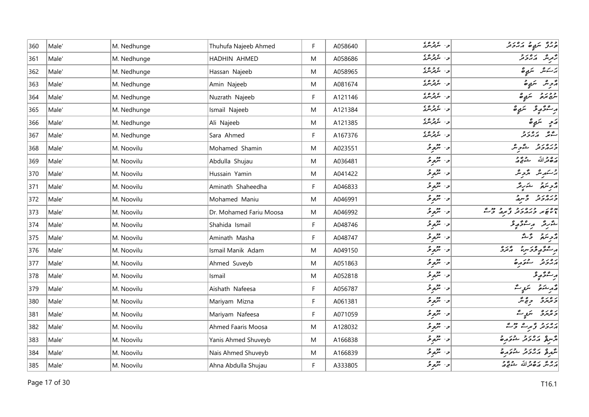| 360 | Male' | M. Nedhunge | Thuhufa Najeeb Ahmed    | F         | A058640 | و. سرورسری                          | وورٌ سَعٍ صَدَر ور                                                                                                                                                                                                               |
|-----|-------|-------------|-------------------------|-----------|---------|-------------------------------------|----------------------------------------------------------------------------------------------------------------------------------------------------------------------------------------------------------------------------------|
| 361 | Male' | M. Nedhunge | HADHIN AHMED            | M         | A058686 | و . سربرسری                         | گرمر پرورو                                                                                                                                                                                                                       |
| 362 | Male' | M. Nedhunge | Hassan Najeeb           | M         | A058965 | و. عوده ع                           | بَرْسَدْ سَمِعٍ هُ                                                                                                                                                                                                               |
| 363 | Male' | M. Nedhunge | Amin Najeeb             | M         | A081674 | و. عوضهو                            | أأترش لتراديهم                                                                                                                                                                                                                   |
| 364 | Male' | M. Nedhunge | Nuzrath Najeeb          | F         | A121146 | ړ د ده ده<br>د اسرپرسر <sub>ک</sub> | وور و سرمي ه                                                                                                                                                                                                                     |
| 365 | Male' | M. Nedhunge | Ismail Najeeb           | M         | A121384 | و. شهرسری                           | وستوفي فللملح فالملتج                                                                                                                                                                                                            |
| 366 | Male' | M. Nedhunge | Ali Najeeb              | M         | A121385 | ړ د ده ده<br>د اسرپرسر <sub>ک</sub> | أوزم سكفي ه                                                                                                                                                                                                                      |
| 367 | Male' | M. Nedhunge | Sara Ahmed              | F         | A167376 | ړ د ده ده<br>د اسرپرسر <sub>ک</sub> | ر ده ده د د                                                                                                                                                                                                                      |
| 368 | Male' | M. Noovilu  | Mohamed Shamin          | ${\sf M}$ | A023551 | د مشرقه قر                          | و ره ر و<br>د پر پر تر<br>ستٌو مر                                                                                                                                                                                                |
| 369 | Male' | M. Noovilu  | Abdulla Shujau          | M         | A036481 | د متموم                             | ے جو حر<br>ەھەراللە                                                                                                                                                                                                              |
| 370 | Male' | M. Noovilu  | Hussain Yamin           | M         | A041422 | د متعرفر                            | برسكر مركز الركر مركز                                                                                                                                                                                                            |
| 371 | Male' | M. Noovilu  | Aminath Shaheedha       | F         | A046833 | د . متموتر                          | أأترجع تكويته                                                                                                                                                                                                                    |
| 372 | Male' | M. Noovilu  | Mohamed Maniu           | M         | A046991 | ار، مت <sub>عرف</sub>               | כנסנכ ביתה                                                                                                                                                                                                                       |
| 373 | Male' | M. Noovilu  | Dr. Mohamed Fariu Moosa | M         | A046992 | د . مت <sub>عر</sub> قه             | איסג כממכני פיני יולי המוני היולי היולי היולי היולי היולי היולי היולי היולי היולי היולי היולי היולי היולי היול<br>היו משיא בממכני קיילי היולי היולי היולי היולי היולי היולי היולי היולי היולי היולי היולי היולי היולי היולי היול |
| 374 | Male' | M. Noovilu  | Shahida Ismail          | F         | A048746 | <sub>ح</sub> . مت <sub>عر</sub> قر  | المقرقر وكالحويز                                                                                                                                                                                                                 |
| 375 | Male' | M. Noovilu  | Aminath Masha           | F.        | A048747 | <sub>و</sub> . مت <sub>عر</sub> قه  | أراد والمحمدة                                                                                                                                                                                                                    |
| 376 | Male' | M. Noovilu  | Ismail Manik Adam       | M         | A049150 | د . متنوفر                          | ر عر و د د سره د بر د و د                                                                                                                                                                                                        |
| 377 | Male' | M. Noovilu  | Ahmed Suveyb            | M         | A051863 | ار، مت <sub>عرف</sub>               | دەرو دىرو                                                                                                                                                                                                                        |
| 378 | Male' | M. Noovilu  | Ismail                  | M         | A052818 | د. متنوفر                           | ابر مشتر <i>م پ</i> ر                                                                                                                                                                                                            |
| 379 | Male' | M. Noovilu  | Aishath Nafeesa         | F         | A056787 | د· مت <sub>عر</sub> قر              |                                                                                                                                                                                                                                  |
| 380 | Male' | M. Noovilu  | Mariyam Mizna           | F         | A061381 | د. متنوفر                           | و ورو دی ش                                                                                                                                                                                                                       |
| 381 | Male' | M. Noovilu  | Mariyam Nafeesa         | F         | A071059 | د. متنوفر                           | دەرە سَرِ گ                                                                                                                                                                                                                      |
| 382 | Male' | M. Noovilu  | Ahmed Faaris Moosa      | M         | A128032 | <sub>ح</sub> . مت <sub>عر</sub> قه  | أرەرە بۇ ئەب دەم                                                                                                                                                                                                                 |
| 383 | Male' | M. Noovilu  | Yanis Ahmed Shuveyb     | M         | A166838 | <sub>ح</sub> . مت <sub>عر</sub> قر  | بوسره رورو دورو<br>الرسره مدونر شوره                                                                                                                                                                                             |
| 384 | Male' | M. Noovilu  | Nais Ahmed Shuveyb      | M         | A166839 | د. متروژ                            | شره برورد ورده                                                                                                                                                                                                                   |
| 385 | Male' | M. Noovilu  | Ahna Abdulla Shujau     | F.        | A333805 | د متعرفر                            | بره محر بره درالله خود و                                                                                                                                                                                                         |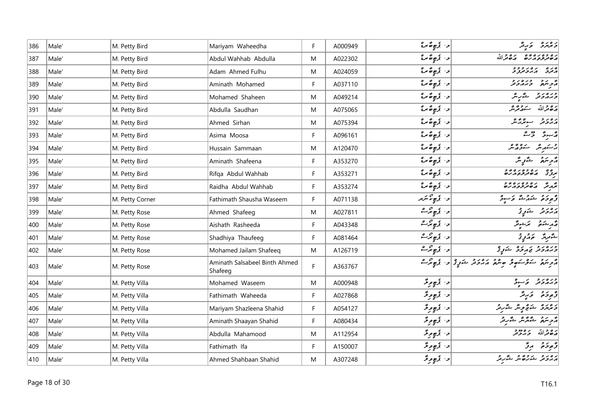| 386 | Male' | M. Petty Bird   | Mariyam Waheedha                         | F           | A000949 | ر. ئۇ جۇ ئەر ق                          | د ۱۵ د کار تر                                                                                       |
|-----|-------|-----------------|------------------------------------------|-------------|---------|-----------------------------------------|-----------------------------------------------------------------------------------------------------|
| 387 | Male' | M. Petty Bird   | Abdul Wahhab Abdulla                     | M           | A022302 | د· بُرُھٍ صَّىرٍ و                      | ره وه ره وه ده و الله                                                                               |
| 388 | Male' | M. Petty Bird   | Adam Ahmed Fulhu                         | M           | A024059 | د· ئۇچۇممىگ                             | برره ره رووو<br>پرترز پرترترنو                                                                      |
| 389 | Male' | M. Petty Bird   | Aminath Mohamed                          | F           | A037110 | ر. ئۇچۇممۇ                              | أثر سرد وره دو                                                                                      |
| 390 | Male' | M. Petty Bird   | Mohamed Shaheen                          | M           | A049214 | <sub>و:</sub> ک <sub>ُر</sub> مٍ صَّمرة | ورەر ئەرشى<br>وبىدونر شىرش                                                                          |
| 391 | Male' | M. Petty Bird   | Abdulla Saudhan                          | M           | A075065 | د· لاَهٍ صَّمَّة                        | ے دی <sub>م</sub> ہ<br>سے <sub>ت</sub> ھر س<br>برە قراللە                                           |
| 392 | Male' | M. Petty Bird   | Ahmed Sirhan                             | M           | A075394 | ر. ئۇ جۇ ئەر د                          | رەرو سورتمىش                                                                                        |
| 393 | Male' | M. Petty Bird   | Asima Moosa                              | F           | A096161 | ر. بُرْءٍ صَّرٍ و                       | ړ سري د سر                                                                                          |
| 394 | Male' | M. Petty Bird   | Hussain Sammaan                          | M           | A120470 | ر. ئۇ چەھمىگ                            | 2000 - 2000 L                                                                                       |
| 395 | Male' | M. Petty Bird   | Aminath Shafeena                         | F           | A353270 | ر. ئۇ چەھمىگ                            | ۇ <i>جەمگە ئىشتۇ</i> بىر                                                                            |
| 396 | Male' | M. Petty Bird   | Rifqa Abdul Wahhab                       | F           | A353271 | ر. , ئۇ ھەممىگ                          | ە بەرەرەپەر<br>بىرز ئەھەر <i>جەدىرى</i>                                                             |
| 397 | Male' | M. Petty Bird   | Raidha Abdul Wahhab                      | $\mathsf F$ | A353274 | ر. بُرْھٍ ھُ مَدْ                       | په ده ده ده ده و د<br>بروتر مان ترو و در ت                                                          |
| 398 | Male' | M. Petty Corner | Fathimath Shausha Waseem                 | $\mathsf F$ | A071138 | و· وأَحِدٍ مُؤْتَمَدَ بِرَبِّدِ         | وٌ و دَمَ دَ اللہ اللہ وَ سود                                                                       |
| 399 | Male' | M. Petty Rose   | Ahmed Shafeeg                            | M           | A027811 | د. ئۇچە ئەگ                             | كالمروار والمحاوية                                                                                  |
| 400 | Male' | M. Petty Rose   | Aishath Rasheeda                         | F           | A043348 | د. ئۇچە ئە                              | د<br>مەرخۇم ئىچىم                                                                                   |
| 401 | Male' | M. Petty Rose   | Shadhiya Thaufeeg                        | $\mathsf F$ | A081464 | د کوچر محمد                             |                                                                                                     |
| 402 | Male' | M. Petty Rose   | Mohamed Jailam Shafeeq                   | M           | A126719 | د. بُرْھٍ بُرْتْه                       | ورەرو رمزى ئىر                                                                                      |
| 403 | Male' | M. Petty Rose   | Aminath Salsabeel Binth Ahmed<br>Shafeeg | F           | A363767 |                                         | مر سرد سكوسكو و مره د د د د و د د و مره و محمد الله د و محمد الله د د و محمد الله د د د و محمد الله |
| 404 | Male' | M. Petty Villa  | Mohamed Waseem                           | M           | A000948 | و· أديجورتمر                            | ورەرو كەسوۋ                                                                                         |
| 405 | Male' | M. Petty Villa  | Fathimath Waheeda                        | F           | A027868 | و· أدعووقر                              | وَّجِعَةً وَرِيَّزَ                                                                                 |
| 406 | Male' | M. Petty Villa  | Mariyam Shazleena Shahid                 | F           | A054127 | و· أدعووقر                              | و ورو د و پرتر ځريز                                                                                 |
| 407 | Male' | M. Petty Villa  | Aminath Shaayan Shahid                   | F           | A080434 | و· أدعووقر                              | أو مرد معده المحمد المحمد                                                                           |
| 408 | Male' | M. Petty Villa  | Abdulla Mahamood                         | M           | A112954 | د· گ <sub>ر</sub> ھورمَّ                | رە داللە ئەمەم                                                                                      |
| 409 | Male' | M. Petty Villa  | Fathimath Ifa                            | F           | A150007 | و· بۇ چەمەمۇ                            | وًجوحتم مرقم                                                                                        |
| 410 | Male' | M. Petty Villa  | Ahmed Shahbaan Shahid                    | M           | A307248 | و· بۇ ھەمۇ                              | رەرو دەۋە ئەرگەر                                                                                    |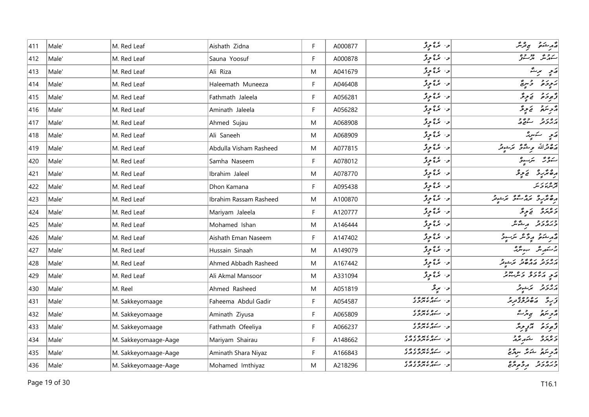| 411 | Male' | M. Red Leaf          | Aishath Zidna          | F         | A000877 | د . بر؟ دٍوْ                                                                                                                                         | أقهر مشكرة الممج فكرمتكر                             |
|-----|-------|----------------------|------------------------|-----------|---------|------------------------------------------------------------------------------------------------------------------------------------------------------|------------------------------------------------------|
| 412 | Male' | M. Red Leaf          | Sauna Yoosuf           | F         | A000878 | د . بر؟ <i>وٍ و</i>                                                                                                                                  | سىدىتىر<br>ېزىستۇ                                    |
| 413 | Male' | M. Red Leaf          | Ali Riza               | M         | A041679 | د . بر؟ دٍ <i>و</i>                                                                                                                                  | أتكمي المرسيح                                        |
| 414 | Male' | M. Red Leaf          | Haleemath Muneeza      | F         | A046408 | د . بر؟ دٍوْ                                                                                                                                         | برَوِدَهِ<br>ترسريح                                  |
| 415 | Male' | M. Red Leaf          | Fathmath Jaleela       | F         | A056281 | د . بر؟ دٍوْ                                                                                                                                         | ۇ بوخ <sup>ى</sup><br>تح وٍ وَّ                      |
| 416 | Male' | M. Red Leaf          | Aminath Jaleela        | F         | A056282 | د . بر؟ دٍوْ                                                                                                                                         | و څخه سره<br>تع مرتز                                 |
| 417 | Male' | M. Red Leaf          | Ahmed Sujau            | M         | A068908 | د . بر؟ دٍوْ                                                                                                                                         | ر ج بر د<br>مستوف <i>ه</i><br>ر ه ر د<br>م.ر څ مر    |
| 418 | Male' | M. Red Leaf          | Ali Saneeh             | M         | A068909 | د . بر؟ دٍوْ                                                                                                                                         | أەيجە سەسپە                                          |
| 419 | Male' | M. Red Leaf          | Abdulla Visham Rasheed | M         | A077815 | د . بر؟ دٍ دِ                                                                                                                                        | برە داللە مەڭگە برىدىد                               |
| 420 | Male' | M. Red Leaf          | Samha Naseem           | F         | A078012 | د . بر؟ دٍ <i>و</i>                                                                                                                                  | ستروش                                                |
| 421 | Male' | M. Red Leaf          | Ibrahim Jaleel         | M         | A078770 | د . بر؟ دٍ دِ                                                                                                                                        | ىر ھەتمەر 2<br>ب<br>تع موثو                          |
| 422 | Male' | M. Red Leaf          | Dhon Kamana            | F         | A095438 | - نړه پور                                                                                                                                            | بر ہ ر ر<br>تر سربان س                               |
| 423 | Male' | M. Red Leaf          | Ibrahim Rassam Rasheed | M         | A100870 | د . نرو د د د ک                                                                                                                                      | برە شەھ بەئىسىد<br>ەھ ئۈرۈ                           |
| 424 | Male' | M. Red Leaf          | Mariyam Jaleela        | F         | A120777 | د . بر؟ دٍ <i>و</i>                                                                                                                                  | ويرده فيجد                                           |
| 425 | Male' | M. Red Leaf          | Mohamed Ishan          | M         | A146444 | د . نرو د د د ک                                                                                                                                      | ورەرو مشمر                                           |
| 426 | Male' | M. Red Leaf          | Aishath Eman Naseem    | F         | A147402 | د . بر؟ <i>و د</i><br>د                                                                                                                              | مەر شەڭ بەۋىكە ئىرلىرى                               |
| 427 | Male' | M. Red Leaf          | Hussain Sinaah         | M         | A149079 | - بره د د د                                                                                                                                          | بر سکور میں سوسر میں ک                               |
| 428 | Male' | M. Red Leaf          | Ahmed Abbadh Rasheed   | M         | A167442 | —<br> ح• سمه عموقر                                                                                                                                   | ر 2000 د 2000 کرشونگر<br>مربر 3 در 10 گرشونگر        |
| 429 | Male' | M. Red Leaf          | Ali Akmal Mansoor      | M         | A331094 | د . بر؟ دٍوْ                                                                                                                                         | ر ده ده ده ده د <del>ه</del><br>در در در در در در در |
| 430 | Male' | M. Reel              | Ahmed Rasheed          | M         | A051819 | او، موثو<br>— <sup>5</sup>                                                                                                                           | رەر دىئوتر                                           |
| 431 | Male' | M. Sakkeyomaage      | Faheema Abdul Gadir    | F         | A054587 | د . سته د بره د .<br>د . سته د م درو د                                                                                                               | ز پرځ پره ده پورتر<br>د پرځ پره مرکز تورنر           |
| 432 | Male' | M. Sakkeyomaage      | Aminath Ziyusa         | F         | A065809 | ه به ۱۶۶۷ ورونو<br>د ۱۶ ستور د برور                                                                                                                  | أأزجر سنتمر بمورث                                    |
| 433 | Male' | M. Sakkeyomaage      | Fathmath Ofeeliya      | F         | A066237 | ر ه ، پر ه ،<br>ستهر ما مرو د<br>و ٠                                                                                                                 | أوالمحافظ المتوجد                                    |
| 434 | Male' | M. Sakkeyomaage-Aage | Mariyam Shairau        | F         | A148662 |                                                                                                                                                      | شەھە بىر بە<br>ر ه ر ه<br>تر برگ                     |
| 435 | Male' | M. Sakkeyomaage-Aage | Aminath Shara Niyaz    | F         | A166843 | $\begin{array}{c} c\leftrightarrow c\leftrightarrow \times c\circ\!\!\!\!\! \nearrow\quad \  \  \, \circ\ \nearrow\quad \  \  \, \circ\ \end{array}$ | أأدرج فتكر الرائح                                    |
| 436 | Male' | M. Sakkeyomaage-Aage | Mohamed Imthiyaz       | ${\sf M}$ | A218296 |                                                                                                                                                      | כנסנכ הפתיאם<br><i>כג</i> הכנג הכתה                  |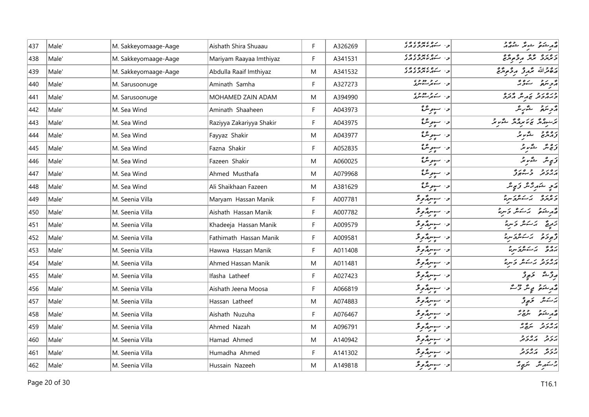| 437 | Male' | M. Sakkeyomaage-Aage | Aishath Shira Shuaau     | F         | A326269 | $\begin{array}{l} c\ast c\ast\ast c\circ\!\!\!\!\! \circ\  \  \, \circ\  \  \, \circ\  \  \, \circ\  \  \, \circ\  \  \, \circ\  \  \, \circ\  \  \, \circ\  \  \, \circ\  \  \, \circ\  \  \, \circ\  \  \, \circ\  \  \, \circ\  \  \, \circ\  \  \, \circ\  \  \, \circ\  \  \, \circ\  \  \, \circ\  \  \, \circ\  \  \, \circ\  \  \, \circ\  \  \, \circ\  \  \, \circ\  \  \, \circ\  \  \, \circ\ $ | وأوشكم شوركا شوور                                          |
|-----|-------|----------------------|--------------------------|-----------|---------|-------------------------------------------------------------------------------------------------------------------------------------------------------------------------------------------------------------------------------------------------------------------------------------------------------------------------------------------------------------------------------------------------------------|------------------------------------------------------------|
| 438 | Male' | M. Sakkeyomaage-Aage | Mariyam Raayaa Imthiyaz  | F         | A341531 | $\begin{array}{l} c\ast c\ast\ast c\circ\!\!\!\! \circ\quad \  \  \cdot\quad \  \circ\\ \mathcal{S}\!\!\!\! \circ\, c\,\mathcal{S}\!\!\!\! \circ\, \mathcal{N}\!\!\!\! \circ\, c\,\mathcal{S}\!\!\!\! \circ\quad \  \cdot\quad \mathcal{S} \end{array}$                                                                                                                                                     | במתכ מת תכתתם                                              |
| 439 | Male' | M. Sakkeyomaage-Aage | Abdulla Raaif Imthiyaz   | M         | A341532 | $5959701 -$<br>و ٠                                                                                                                                                                                                                                                                                                                                                                                          | رە داللە مەر ئەرە مەر                                      |
| 440 | Male' | M. Sarusoonuge       | Aminath Samha            | F         | A327273 | د . سکوره ده د ،                                                                                                                                                                                                                                                                                                                                                                                            | أأزجر سكره والمحترب                                        |
| 441 | Male' | M. Sarusoonuge       | MOHAMED ZAIN ADAM        | ${\sf M}$ | A394990 | د . سکوتر <sup>دو و پ</sup>                                                                                                                                                                                                                                                                                                                                                                                 | ورەرو يهر شهرو                                             |
| 442 | Male' | M. Sea Wind          | Aminath Shaaheen         | F         | A043973 | د سومبره<br>مسیح                                                                                                                                                                                                                                                                                                                                                                                            | مُرْحِبَتُمْ فَسَيَّبِ مِنْ                                |
| 443 | Male' | M. Sea Wind          | Raziyya Zakariyya Shakir | F         | A043975 | وسنسوش<br>ء ز                                                                                                                                                                                                                                                                                                                                                                                               |                                                            |
| 444 | Male' | M. Sea Wind          | Fayyaz Shakir            | M         | A043977 | ح سومبر وه<br>كار كار كار من من المالي<br>كار كار كار كار من المالي بين المالي بين المالي بين المالي بين المالي بين ا                                                                                                                                                                                                                                                                                       | ر ە بە د<br>ىشقەر بىر                                      |
| 445 | Male' | M. Sea Wind          | Fazna Shakir             | F         | A052835 | ح سوم مثلاثا<br>محر                                                                                                                                                                                                                                                                                                                                                                                         | تۇتجەنگر شەمەتكە                                           |
| 446 | Male' | M. Sea Wind          | Fazeen Shakir            | M         | A060025 | ح سوم مردم من<br>محر                                                                                                                                                                                                                                                                                                                                                                                        | <mark>ز</mark> ىپ شەھىر ئىگە بىر                           |
| 447 | Male' | M. Sea Wind          | Ahmed Musthafa           | M         | A079968 | ح سوم مردم من<br>مح                                                                                                                                                                                                                                                                                                                                                                                         | ره رو و مرد<br>پرېگر و سوبونې                              |
| 448 | Male' | M. Sea Wind          | Ali Shaikhaan Fazeen     | ${\sf M}$ | A381629 | ح سومبر<br>مستقب                                                                                                                                                                                                                                                                                                                                                                                            | ړې خپرتګر ژېږې                                             |
| 449 | Male' | M. Seenia Villa      | Maryam Hassan Manik      | F         | A007781 | و، سوسرمۇمۇم<br>ئۇرىم                                                                                                                                                                                                                                                                                                                                                                                       | ىر كەنلەر <i>تەرى</i> ر<br>ر ه بر ه<br><del>ر</del> بربر ژ |
| 450 | Male' | M. Seenia Villa      | Aishath Hassan Manik     | F         | A007782 | د ، سوسرمٌ و څُر                                                                                                                                                                                                                                                                                                                                                                                            | ە ئەر ئەسكە ئەسرىر                                         |
| 451 | Male' | M. Seenia Villa      | Khadeeja Hassan Manik    | F         | A009579 | د سوسرد گوځه<br>د س                                                                                                                                                                                                                                                                                                                                                                                         | تكريج أأكرك كالمراد                                        |
| 452 | Male' | M. Seenia Villa      | Fathimath Hassan Manik   | F         | A009581 | د سوسرگرموگر<br>په سرگرموگر                                                                                                                                                                                                                                                                                                                                                                                 | ۇي <sub>ە</sub> رە بەسەھەردە                               |
| 453 | Male' | M. Seenia Villa      | Hawwa Hassan Manik       | F         | A011408 | و، سوسرمۇمۇ                                                                                                                                                                                                                                                                                                                                                                                                 |                                                            |
| 454 | Male' | M. Seenia Villa      | Ahmed Hassan Manik       | M         | A011481 | و، سوسرمۇمۇ                                                                                                                                                                                                                                                                                                                                                                                                 | גפגב ג' היות בייטר                                         |
| 455 | Male' | M. Seenia Villa      | Ifasha Latheef           | F         | A027423 | د سوسرگرموگر<br>په سرگرموگر                                                                                                                                                                                                                                                                                                                                                                                 | أيروَّ مَدَّ وَجَوِرْ                                      |
| 456 | Male' | M. Seenia Villa      | Aishath Jeena Moosa      | F         | A066819 | د سوسرگرونگر<br>په سر                                                                                                                                                                                                                                                                                                                                                                                       | أقهر ينكفح ويرتثر فرجمته                                   |
| 457 | Male' | M. Seenia Villa      | Hassan Latheef           | M         | A074883 | د ، سوسرمٌ و ژُ                                                                                                                                                                                                                                                                                                                                                                                             | پرسەش ئۇچ <sub>ۇ</sub> تى                                  |
| 458 | Male' | M. Seenia Villa      | Aishath Nuzuha           | F         | A076467 | د سوسرگرونگر<br>په سر                                                                                                                                                                                                                                                                                                                                                                                       | سرچ پر<br>ړ د شوه                                          |
| 459 | Male' | M. Seenia Villa      | Ahmed Nazah              | M         | A096791 | سەسى <i>دۇ</i> بۇ<br>و٠                                                                                                                                                                                                                                                                                                                                                                                     | پرور و<br>سریزه                                            |
| 460 | Male' | M. Seenia Villa      | Hamad Ahmed              | M         | A140942 | و، سوسرمۇمۇ                                                                                                                                                                                                                                                                                                                                                                                                 | رر و ده ده.<br>پروتر م <i>رب</i> وتر                       |
| 461 | Male' | M. Seenia Villa      | Humadha Ahmed            | F         | A141302 | و، سوسرمۇمۇم<br>ئۇرگەر                                                                                                                                                                                                                                                                                                                                                                                      | ور می ده د و<br>بروتر م <i>ی</i> بروتر                     |
| 462 | Male' | M. Seenia Villa      | Hussain Nazeeh           | M         | A149818 | وسيستقوفه                                                                                                                                                                                                                                                                                                                                                                                                   | 2سەرىكە سىپە2                                              |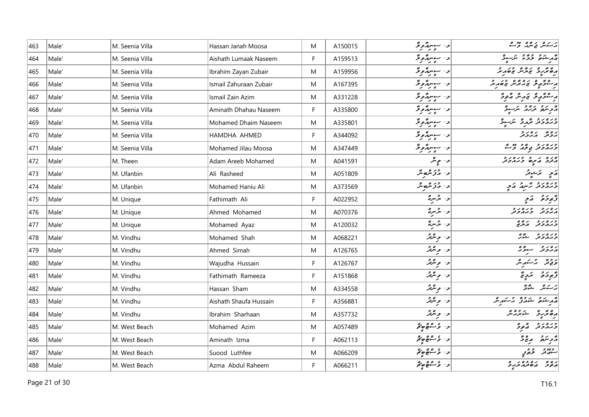| 463 | Male' | M. Seenia Villa | Hassan Janah Moosa     | M           | A150015 | و، سوسرمۇمۇ             | يركب والروام المحافية         |
|-----|-------|-----------------|------------------------|-------------|---------|-------------------------|-------------------------------|
| 464 | Male' | M. Seenia Villa | Aishath Lumaak Naseem  | F           | A159513 | ر. سوسرمۇرۇ             | $\frac{3}{2}$                 |
| 465 | Male' | M. Seenia Villa | Ibrahim Zayan Zubair   | M           | A159956 | و، سوسرمۇمۇ             | תפת כ ג'ול בסתת               |
| 466 | Male' | M. Seenia Villa | Ismail Zahuraan Zubair | M           | A167395 | ر ، سوسرمٌورٌو<br>په سو | مستوكي و برورده و در د        |
| 467 | Male' | M. Seenia Villa | Ismail Zain Azim       | M           | A331228 | د سوسرم و د گر          | و جۇمچى تمويىل مەرجى          |
| 468 | Male' | M. Seenia Villa | Aminath Dhahau Naseem  | F           | A335800 | و. سومدې د څ            | ה ביינים וקיבר ותי-פ          |
| 469 | Male' | M. Seenia Villa | Mohamed Dhaim Naseem   | M           | A335801 | د ، سوسرمٌ و ژُ         | ورەرو ئەرۋ شەر                |
| 470 | Male' | M. Seenia Villa | HAMDHA AHMED           | $\mathsf F$ | A344092 | د· سوسرمٌورٌ            | رەپە رەرد                     |
| 471 | Male' | M. Seenia Villa | Mohamed Jilau Moosa    | M           | A347449 | و سوسرمۇمۇ              | ورەرو پەۋە دىم                |
| 472 | Male' | M. Theen        | Adam Areeb Mohamed     | M           | A041591 | د . موسر                | وره كم يره ورورو              |
| 473 | Male' | M. Ufanbin      | Ali Rasheed            | M           | A051809 |                         | أركمني المرتشوش               |
| 474 | Male' | M. Ufanbin      | Mohamed Haniu Ali      | M           | A373569 | -<br> - اړو مرض         | ورورو رميد كمو                |
| 475 | Male' | M. Unique       | Fathimath Ali          | F           | A022952 | د . مرسر ره<br>ر        | قهوده الأمج                   |
| 476 | Male' | M. Unique       | Ahmed Mohamed          | M           | A070376 | د . مرسر ره<br>ر        | ג סגב בגם גב<br>הגבת בגהבת    |
| 477 | Male' | M. Unique       | Mohamed Ayaz           | M           | A120032 | د. اگر سر ر             | כנסנכ נמס                     |
| 478 | Male' | M. Vindhu       | Mohamed Shah           | M           | A068221 | اد . ویژگر<br>— ر       | ورەر دەر                      |
| 479 | Male' | M. Vindhu       | Ahmed Simah            | M           | A126765 | د· ویګرنگر              | رەر بەر                       |
| 480 | Male' | M. Vindhu       | Wajudha Hussain        | F           | A126767 | د· ویژنگر               | روم چې شهر ش                  |
| 481 | Male' | M. Vindhu       | Fathimath Rameeza      | F           | A151868 | د· ویژوژ                | أزُّمُوحَامُ - مَرْحٍ مَّ     |
| 482 | Male' | M. Vindhu       | Hassan Sham            | M           | A334558 | د· ویګرنگر              | يز کشمار شگر ش                |
| 483 | Male' | M. Vindhu       | Aishath Shaufa Hussain | $\mathsf F$ | A356881 | د· ویژنگر               | ۇرخۇم خىرۇ باشىرىر            |
| 484 | Male' | M. Vindhu       | Ibrahim Sharhaan       | M           | A357732 | د· ویژنر                | رەپرىر شىرتىر                 |
| 485 | Male' | M. West Beach   | Mohamed Azim           | M           | A057489 | 80000000                |                               |
| 486 | Male' | M. West Beach   | Aminath Izma           | F           | A062113 | و. ۇشقۇھۇ               |                               |
| 487 | Male' | M. West Beach   | Suood Luthfee          | M           | A066209 | $\frac{8}{9}$           | ر و دو و<br>سسوړ تعر<br>ترجمي |
| 488 | Male' | M. West Beach   | Azma Abdul Raheem      | F           | A066211 | وسأوقف والمعافرة        | رە ئەرەدەر ە                  |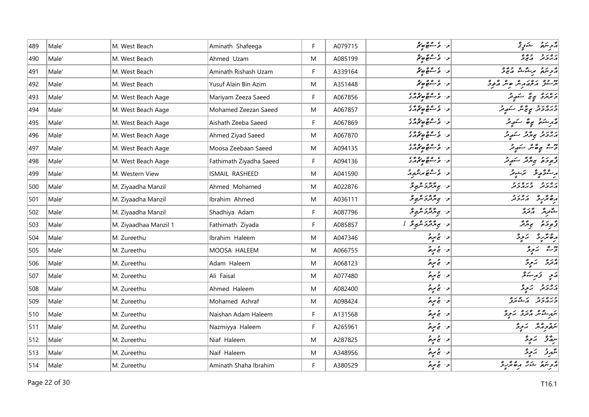| 489 | Male' | M. West Beach         | Aminath Shafeega        | F  | A079715 | $\mathcal{S}_{\varphi}$ $\overset{o}{=}$ $\overset{o}{\sim}$ $\overset{o}{\sim}$    | أأترجتم الحنورة                                       |
|-----|-------|-----------------------|-------------------------|----|---------|-------------------------------------------------------------------------------------|-------------------------------------------------------|
| 490 | Male' | M. West Beach         | Ahmed Uzam              | M  | A085199 | 8000000000                                                                          | ره رو و وه<br>  د برو تر مربع و                       |
| 491 | Male' | M. West Beach         | Aminath Rishash Uzam    | F. | A339164 | $\frac{1}{2}$                                                                       | أثر مرد بريشت المعج                                   |
| 492 | Male' | M. West Beach         | Yusuf Alain Bin Azim    | M  | A351448 | $\frac{1}{2}$ = $\frac{1}{2}$ = $\frac{1}{2}$ = $\frac{1}{2}$                       | ת בני הכבות ים יית ביכים                              |
| 493 | Male' | M. West Beach Aage    | Mariyam Zeeza Saeed     | F  | A067856 |                                                                                     | د بر پرې ځان سکوپه تر                                 |
| 494 | Male' | M. West Beach Aage    | Mohamed Zeezan Saeed    | M  | A067857 | 5.9999999999                                                                        | ورەر دېگر شهرد                                        |
| 495 | Male' | M. West Beach Aage    | Aishath Zeeba Saeed     | F  | A067869 | $\frac{c}{3}$ $\frac{c}{3}$ $\frac{c}{3}$ $\frac{c}{3}$ $\frac{c}{3}$ $\frac{c}{3}$ | أمار مشكا والتحرير المحمد وتراثر                      |
| 496 | Male' | M. West Beach Aage    | Ahmed Ziyad Saeed       | M  | A067870 | 5.9999905.5                                                                         | أرورد بروز سكروز                                      |
| 497 | Male' | M. West Beach Aage    | Moosa Zeebaan Saeed     | M  | A094135 | 5.9999905.5                                                                         | ديم پيءُ سُهيدُ                                       |
| 498 | Male' | M. West Beach Aage    | Fathimath Ziyadha Saeed | F  | A094136 | 5.9999905.5                                                                         | قُرُوحَةً وحَمَّدَ سَوَيْتُهِ                         |
| 499 | Male' | M. Western View       | ISMAIL RASHEED          | M  | A041590 | و. وكروم مرهم ور                                                                    | برحوم ويحصح المراجو                                   |
| 500 | Male' | M. Ziyaadha Manzil    | Ahmed Mohamed           | M  | A022876 | و · <sub>مح</sub> «گرد شر <sub>م</sub> ح گ                                          | ر ס ג פ ג ס ג כ<br>ג ג ב ג ג ג ב ג                    |
| 501 | Male' | M. Ziyaadha Manzil    | Ibrahim Ahmed           | M  | A036111 | و <sub>ب</sub> ه پر تر تر تر پر تر                                                  | برڭ ئېرىر<br>برور و                                   |
| 502 | Male' | M. Ziyaadha Manzil    | Shadhiya Adam           | F  | A087796 | و· <sub>مح</sub> رگردگر <sub>م</sub> و                                              | شَورته " ارترو                                        |
| 503 | Male' | M. Ziyaadhaa Manzil 1 | Fathimath Ziyada        | F  | A085857 | د· <sub>ئ</sub> ې ئرگرگرى <i>گرى 1</i>                                              | أزودة بارتر                                           |
| 504 | Male' | M. Zureethu           | Ibrahim Haleem          | M  | A047346 | ح به منج مرجح<br>ح                                                                  | رەپزېر پرېږ                                           |
| 505 | Male' | M. Zureethu           | MOOSA HALEEM            | M  | A066755 | و . مي مره<br>و . مي مره                                                            | دوم بردو                                              |
| 506 | Male' | M. Zureethu           | Adam Haleem             | M  | A068123 | و . مي مره<br>و . مي مره                                                            | أرتره برود                                            |
| 507 | Male' | M. Zureethu           | Ali Faisal              | M  | A077480 | و . مي مره<br>و . مي مره                                                            | أريموا أورب يكو                                       |
| 508 | Male' | M. Zureethu           | Ahmed Haleem            | M  | A082400 | ح المتح موجو<br>ح                                                                   | رەرد بەدە                                             |
| 509 | Male' | M. Zureethu           | Mohamed Ashraf          | M  | A098424 | د . مخ مورد<br>د . مخ مورد                                                          | ورەرو كەشەرە<br><i>جەم</i> ەرىر <mark>كەشەبرتى</mark> |
| 510 | Male' | M. Zureethu           | Naishan Adam Haleem     | F. | A131568 | ح <sup>.</sup> مي مره<br>ح                                                          | سَمِ شَدَّسْ مُرْتَزَى بَرَ يَرْحَ                    |
| 511 | Male' | M. Zureethu           | Nazmiyya Haleem         | F  | A265961 | د . مخ موځ                                                                          | بزوده بزرو                                            |
| 512 | Male' | M. Zureethu           | Niaf Haleem             | M  | A287825 | د . مخ مورد<br>د . مخ مورد                                                          | $\frac{2}{3}$<br>برَجو                                |
| 513 | Male' | M. Zureethu           | Naif Haleem             | M  | A348956 | و . مي مره<br>و . مي مره                                                            | لتثمرقر<br>برَجردٌ                                    |
| 514 | Male' | M. Zureethu           | Aminath Shaha Ibrahim   | F  | A380529 | و· محمومی                                                                           | הכתה בני הסתקב                                        |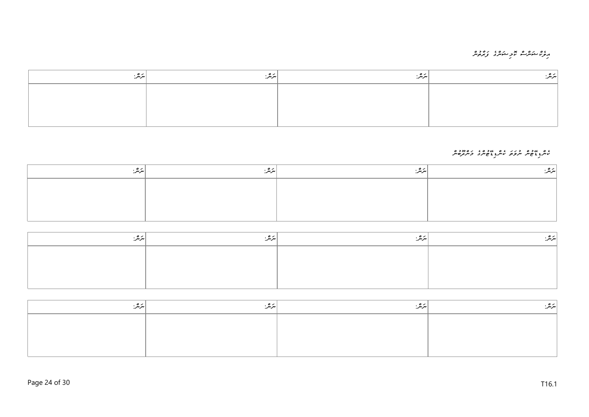## *w7qAn8m? sCw7mRo>u; wEw7mRw;sBo<*

| ' مرمر | 'يئرىثر: |
|--------|----------|
|        |          |
|        |          |
|        |          |

## *w7q9r@w7m> sCw7qHtFoFw7s; mAm=q7 w7qHtFoFw7s;*

| يئرمىش: | $^{\circ}$<br>. سر سر<br>$\cdot$ | $\circ$ $\sim$<br>-- | يئرمثر |
|---------|----------------------------------|----------------------|--------|
|         |                                  |                      |        |
|         |                                  |                      |        |
|         |                                  |                      |        |

| $\frac{2}{n}$ | $\overline{\phantom{a}}$ | اير هنه. | $\mathcal{O} \times$<br>سرسر |
|---------------|--------------------------|----------|------------------------------|
|               |                          |          |                              |
|               |                          |          |                              |
|               |                          |          |                              |

| ' ئىرتىر: | سر سر |  |
|-----------|-------|--|
|           |       |  |
|           |       |  |
|           |       |  |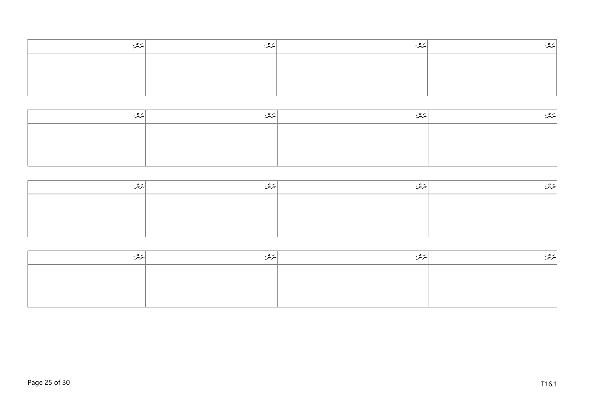| يره. | ο. | ا ير ه |  |
|------|----|--------|--|
|      |    |        |  |
|      |    |        |  |
|      |    |        |  |

| <sup>.</sup> سرسر. |  |
|--------------------|--|
|                    |  |
|                    |  |
|                    |  |

| ىئرىتر. | $\sim$ | ا بر هه. | لىرىش |
|---------|--------|----------|-------|
|         |        |          |       |
|         |        |          |       |
|         |        |          |       |

| 。<br>مرس. | $\overline{\phantom{a}}$<br>مر مىر | يتريثر |
|-----------|------------------------------------|--------|
|           |                                    |        |
|           |                                    |        |
|           |                                    |        |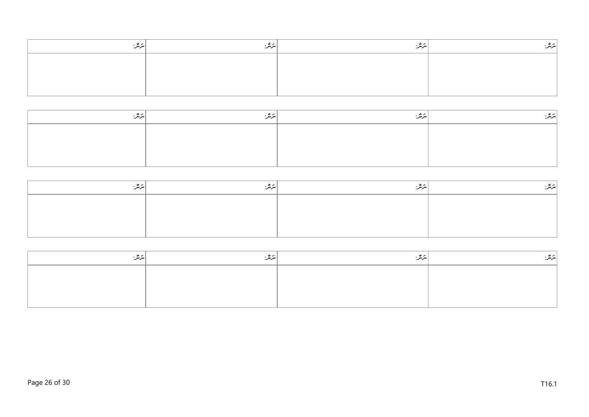| ير هو . | $\overline{\phantom{a}}$ | يرمر | اير هنه. |
|---------|--------------------------|------|----------|
|         |                          |      |          |
|         |                          |      |          |
|         |                          |      |          |

| ىر تىر: | $\circ$ $\sim$<br>" سرسر . | يترمير | o . |
|---------|----------------------------|--------|-----|
|         |                            |        |     |
|         |                            |        |     |
|         |                            |        |     |

| الترنثر: | ' مرتكز: | الترنثر: | .,<br>سرسر. |
|----------|----------|----------|-------------|
|          |          |          |             |
|          |          |          |             |
|          |          |          |             |

|  | . ه |
|--|-----|
|  |     |
|  |     |
|  |     |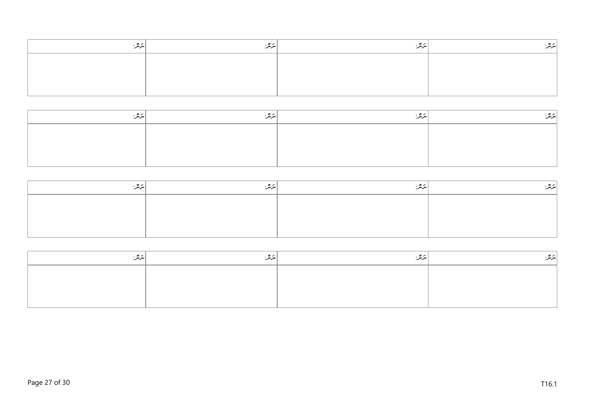| ير هو . | $\overline{\phantom{a}}$ | يرمر | اير هنه. |
|---------|--------------------------|------|----------|
|         |                          |      |          |
|         |                          |      |          |
|         |                          |      |          |

| ىر تىر: | $\circ$ $\sim$<br>" سرسر . | يترمير | o . |
|---------|----------------------------|--------|-----|
|         |                            |        |     |
|         |                            |        |     |
|         |                            |        |     |

| الترنثر: | ' مرتكز: | الترنثر: | .,<br>سرسر. |
|----------|----------|----------|-------------|
|          |          |          |             |
|          |          |          |             |
|          |          |          |             |

|  | . ه |
|--|-----|
|  |     |
|  |     |
|  |     |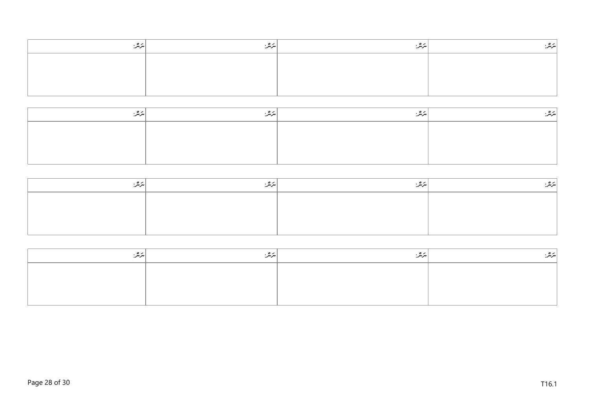| $\cdot$ | ο. | $\frac{\circ}{\cdot}$ | $\sim$<br>سرسر |
|---------|----|-----------------------|----------------|
|         |    |                       |                |
|         |    |                       |                |
|         |    |                       |                |

| يريثن | ' سرسر . |  |
|-------|----------|--|
|       |          |  |
|       |          |  |
|       |          |  |

| بر ه | 。 | $\sim$<br>َ سومس |  |
|------|---|------------------|--|
|      |   |                  |  |
|      |   |                  |  |
|      |   |                  |  |

| 。<br>. س | ىرىىر |  |
|----------|-------|--|
|          |       |  |
|          |       |  |
|          |       |  |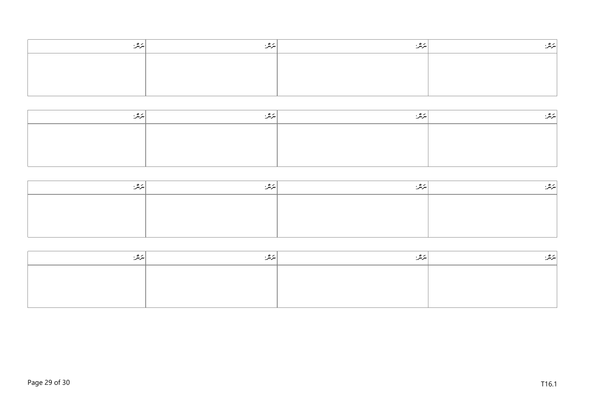| ير هو . | $\overline{\phantom{a}}$ | يرمر | لتزمثن |
|---------|--------------------------|------|--------|
|         |                          |      |        |
|         |                          |      |        |
|         |                          |      |        |

| ىر ھ | $\circ$ $\sim$<br>ا سرسر. | $\circ$ $\sim$<br>' سرسر . | o <i>~</i><br>سرسر. |
|------|---------------------------|----------------------------|---------------------|
|      |                           |                            |                     |
|      |                           |                            |                     |
|      |                           |                            |                     |

| 'تترنثر: | . .<br>يسمونس. |  |
|----------|----------------|--|
|          |                |  |
|          |                |  |
|          |                |  |

|  | . ه |
|--|-----|
|  |     |
|  |     |
|  |     |